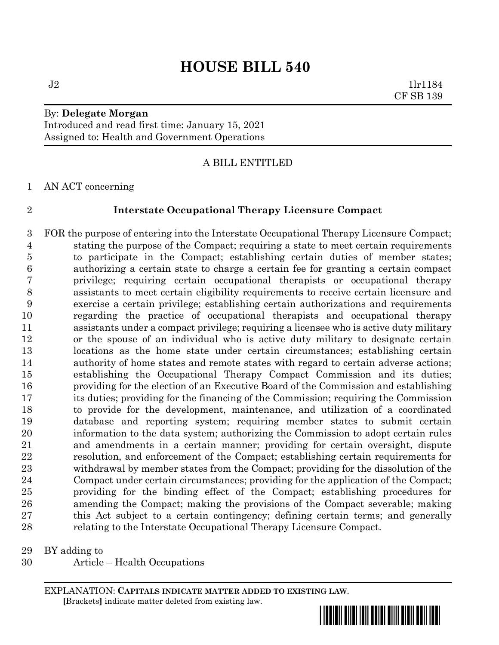$J2$  1lr1184 CF SB 139

# By: **Delegate Morgan** Introduced and read first time: January 15, 2021 Assigned to: Health and Government Operations

# A BILL ENTITLED

AN ACT concerning

# **Interstate Occupational Therapy Licensure Compact**

 FOR the purpose of entering into the Interstate Occupational Therapy Licensure Compact; stating the purpose of the Compact; requiring a state to meet certain requirements to participate in the Compact; establishing certain duties of member states; authorizing a certain state to charge a certain fee for granting a certain compact privilege; requiring certain occupational therapists or occupational therapy assistants to meet certain eligibility requirements to receive certain licensure and exercise a certain privilege; establishing certain authorizations and requirements regarding the practice of occupational therapists and occupational therapy assistants under a compact privilege; requiring a licensee who is active duty military or the spouse of an individual who is active duty military to designate certain locations as the home state under certain circumstances; establishing certain 14 authority of home states and remote states with regard to certain adverse actions; establishing the Occupational Therapy Compact Commission and its duties; providing for the election of an Executive Board of the Commission and establishing its duties; providing for the financing of the Commission; requiring the Commission to provide for the development, maintenance, and utilization of a coordinated database and reporting system; requiring member states to submit certain information to the data system; authorizing the Commission to adopt certain rules and amendments in a certain manner; providing for certain oversight, dispute resolution, and enforcement of the Compact; establishing certain requirements for withdrawal by member states from the Compact; providing for the dissolution of the Compact under certain circumstances; providing for the application of the Compact; providing for the binding effect of the Compact; establishing procedures for amending the Compact; making the provisions of the Compact severable; making this Act subject to a certain contingency; defining certain terms; and generally relating to the Interstate Occupational Therapy Licensure Compact.

BY adding to

Article – Health Occupations

EXPLANATION: **CAPITALS INDICATE MATTER ADDED TO EXISTING LAW**.  **[**Brackets**]** indicate matter deleted from existing law.

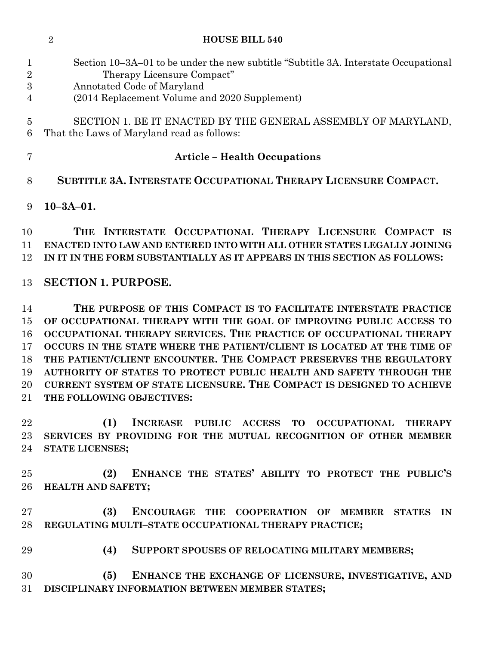| 1<br>$\overline{2}$<br>3 | Section 10-3A-01 to be under the new subtitle "Subtitle 3A. Interstate Occupational<br>Therapy Licensure Compact"<br>Annotated Code of Maryland |
|--------------------------|-------------------------------------------------------------------------------------------------------------------------------------------------|
| 4                        | (2014 Replacement Volume and 2020 Supplement)                                                                                                   |
| 5<br>6                   | SECTION 1. BE IT ENACTED BY THE GENERAL ASSEMBLY OF MARYLAND,<br>That the Laws of Maryland read as follows:                                     |
| 7                        | <b>Article - Health Occupations</b>                                                                                                             |
| 8                        | SUBTITLE 3A. INTERSTATE OCCUPATIONAL THERAPY LICENSURE COMPACT.                                                                                 |
| 9                        | $10 - 3A - 01.$                                                                                                                                 |
| 10                       | THE INTERSTATE OCCUPATIONAL THERAPY LICENSURE COMPACT<br>- IS                                                                                   |
| 11                       | ENACTED INTO LAW AND ENTERED INTO WITH ALL OTHER STATES LEGALLY JOINING                                                                         |
| 12                       | IN IT IN THE FORM SUBSTANTIALLY AS IT APPEARS IN THIS SECTION AS FOLLOWS:                                                                       |
| 13                       | <b>SECTION 1. PURPOSE.</b>                                                                                                                      |
| 14                       | THE PURPOSE OF THIS COMPACT IS TO FACILITATE INTERSTATE PRACTICE                                                                                |
| 15                       | OF OCCUPATIONAL THERAPY WITH THE GOAL OF IMPROVING PUBLIC ACCESS TO                                                                             |
| 16                       | OCCUPATIONAL THERAPY SERVICES. THE PRACTICE OF OCCUPATIONAL THERAPY                                                                             |
| 17                       | OCCURS IN THE STATE WHERE THE PATIENT/CLIENT IS LOCATED AT THE TIME OF                                                                          |
| 18                       | THE PATIENT/CLIENT ENCOUNTER. THE COMPACT PRESERVES THE REGULATORY                                                                              |
| 19<br>20                 | AUTHORITY OF STATES TO PROTECT PUBLIC HEALTH AND SAFETY THROUGH THE<br>CURRENT SYSTEM OF STATE LICENSURE. THE COMPACT IS DESIGNED TO ACHIEVE    |
| 21                       | THE FOLLOWING OBJECTIVES:                                                                                                                       |
| 22                       | (1)<br>INCREASE PUBLIC ACCESS TO OCCUPATIONAL<br><b>THERAPY</b>                                                                                 |
| 23                       | SERVICES BY PROVIDING FOR THE MUTUAL RECOGNITION OF OTHER MEMBER                                                                                |
| 24                       | <b>STATE LICENSES;</b>                                                                                                                          |
| 25 <sub>1</sub>          | ENHANCE THE STATES' ABILITY TO PROTECT THE PUBLIC'S<br>(2)                                                                                      |
| $26\,$                   | HEALTH AND SAFETY;                                                                                                                              |
| $27\,$                   | ENCOURAGE THE COOPERATION OF MEMBER STATES IN<br>(3)                                                                                            |
| 28                       | REGULATING MULTI-STATE OCCUPATIONAL THERAPY PRACTICE;                                                                                           |
| 29                       | (4)<br>SUPPORT SPOUSES OF RELOCATING MILITARY MEMBERS;                                                                                          |
| 30                       | (5)<br>ENHANCE THE EXCHANGE OF LICENSURE, INVESTIGATIVE, AND                                                                                    |
| 31                       | DISCIPLINARY INFORMATION BETWEEN MEMBER STATES;                                                                                                 |
|                          |                                                                                                                                                 |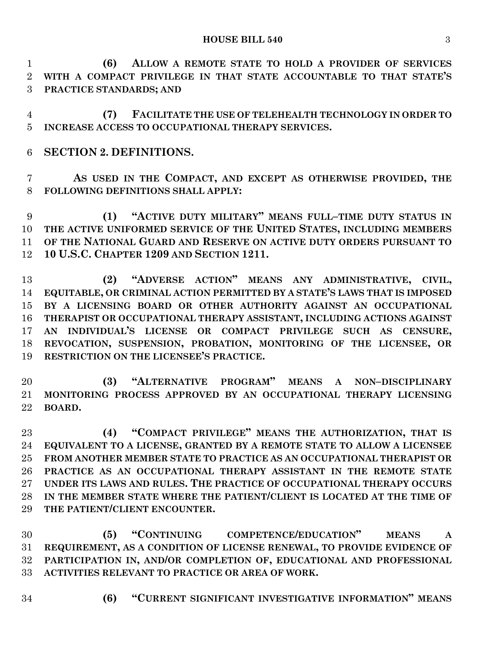**(6) ALLOW A REMOTE STATE TO HOLD A PROVIDER OF SERVICES WITH A COMPACT PRIVILEGE IN THAT STATE ACCOUNTABLE TO THAT STATE'S PRACTICE STANDARDS; AND**

 **(7) FACILITATE THE USE OF TELEHEALTH TECHNOLOGY IN ORDER TO INCREASE ACCESS TO OCCUPATIONAL THERAPY SERVICES.**

**SECTION 2. DEFINITIONS.**

 **AS USED IN THE COMPACT, AND EXCEPT AS OTHERWISE PROVIDED, THE FOLLOWING DEFINITIONS SHALL APPLY:**

 **(1) "ACTIVE DUTY MILITARY" MEANS FULL–TIME DUTY STATUS IN THE ACTIVE UNIFORMED SERVICE OF THE UNITED STATES, INCLUDING MEMBERS OF THE NATIONAL GUARD AND RESERVE ON ACTIVE DUTY ORDERS PURSUANT TO 10 U.S.C. CHAPTER 1209 AND SECTION 1211.**

 **(2) "ADVERSE ACTION" MEANS ANY ADMINISTRATIVE, CIVIL, EQUITABLE, OR CRIMINAL ACTION PERMITTED BY A STATE'S LAWS THAT IS IMPOSED BY A LICENSING BOARD OR OTHER AUTHORITY AGAINST AN OCCUPATIONAL THERAPIST OR OCCUPATIONAL THERAPY ASSISTANT, INCLUDING ACTIONS AGAINST AN INDIVIDUAL'S LICENSE OR COMPACT PRIVILEGE SUCH AS CENSURE, REVOCATION, SUSPENSION, PROBATION, MONITORING OF THE LICENSEE, OR RESTRICTION ON THE LICENSEE'S PRACTICE.**

 **(3) "ALTERNATIVE PROGRAM" MEANS A NON–DISCIPLINARY MONITORING PROCESS APPROVED BY AN OCCUPATIONAL THERAPY LICENSING BOARD.**

 **(4) "COMPACT PRIVILEGE" MEANS THE AUTHORIZATION, THAT IS EQUIVALENT TO A LICENSE, GRANTED BY A REMOTE STATE TO ALLOW A LICENSEE FROM ANOTHER MEMBER STATE TO PRACTICE AS AN OCCUPATIONAL THERAPIST OR PRACTICE AS AN OCCUPATIONAL THERAPY ASSISTANT IN THE REMOTE STATE UNDER ITS LAWS AND RULES. THE PRACTICE OF OCCUPATIONAL THERAPY OCCURS IN THE MEMBER STATE WHERE THE PATIENT/CLIENT IS LOCATED AT THE TIME OF THE PATIENT/CLIENT ENCOUNTER.**

 **(5) "CONTINUING COMPETENCE/EDUCATION" MEANS A REQUIREMENT, AS A CONDITION OF LICENSE RENEWAL, TO PROVIDE EVIDENCE OF PARTICIPATION IN, AND/OR COMPLETION OF, EDUCATIONAL AND PROFESSIONAL ACTIVITIES RELEVANT TO PRACTICE OR AREA OF WORK.**

- 
- **(6) "CURRENT SIGNIFICANT INVESTIGATIVE INFORMATION" MEANS**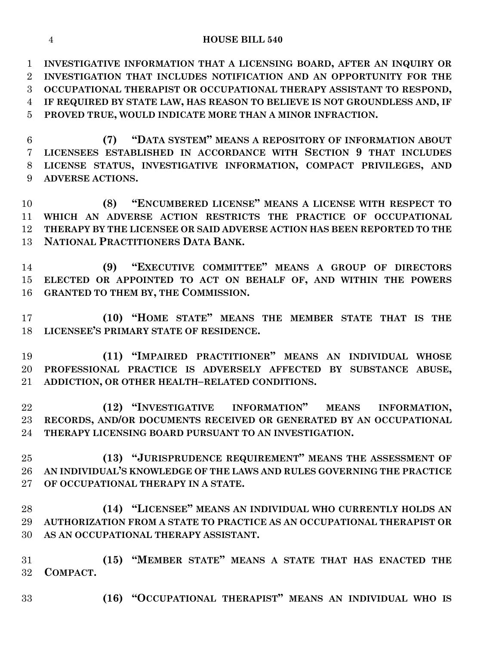**INVESTIGATIVE INFORMATION THAT A LICENSING BOARD, AFTER AN INQUIRY OR INVESTIGATION THAT INCLUDES NOTIFICATION AND AN OPPORTUNITY FOR THE OCCUPATIONAL THERAPIST OR OCCUPATIONAL THERAPY ASSISTANT TO RESPOND, IF REQUIRED BY STATE LAW, HAS REASON TO BELIEVE IS NOT GROUNDLESS AND, IF PROVED TRUE, WOULD INDICATE MORE THAN A MINOR INFRACTION.**

 **(7) "DATA SYSTEM" MEANS A REPOSITORY OF INFORMATION ABOUT LICENSEES ESTABLISHED IN ACCORDANCE WITH SECTION 9 THAT INCLUDES LICENSE STATUS, INVESTIGATIVE INFORMATION, COMPACT PRIVILEGES, AND ADVERSE ACTIONS.**

 **(8) "ENCUMBERED LICENSE" MEANS A LICENSE WITH RESPECT TO WHICH AN ADVERSE ACTION RESTRICTS THE PRACTICE OF OCCUPATIONAL THERAPY BY THE LICENSEE OR SAID ADVERSE ACTION HAS BEEN REPORTED TO THE NATIONAL PRACTITIONERS DATA BANK.**

 **(9) "EXECUTIVE COMMITTEE" MEANS A GROUP OF DIRECTORS ELECTED OR APPOINTED TO ACT ON BEHALF OF, AND WITHIN THE POWERS GRANTED TO THEM BY, THE COMMISSION.**

 **(10) "HOME STATE" MEANS THE MEMBER STATE THAT IS THE LICENSEE'S PRIMARY STATE OF RESIDENCE.**

 **(11) "IMPAIRED PRACTITIONER" MEANS AN INDIVIDUAL WHOSE PROFESSIONAL PRACTICE IS ADVERSELY AFFECTED BY SUBSTANCE ABUSE, ADDICTION, OR OTHER HEALTH–RELATED CONDITIONS.**

 **(12) "INVESTIGATIVE INFORMATION" MEANS INFORMATION, RECORDS, AND/OR DOCUMENTS RECEIVED OR GENERATED BY AN OCCUPATIONAL THERAPY LICENSING BOARD PURSUANT TO AN INVESTIGATION.**

 **(13) "JURISPRUDENCE REQUIREMENT" MEANS THE ASSESSMENT OF AN INDIVIDUAL'S KNOWLEDGE OF THE LAWS AND RULES GOVERNING THE PRACTICE OF OCCUPATIONAL THERAPY IN A STATE.**

 **(14) "LICENSEE" MEANS AN INDIVIDUAL WHO CURRENTLY HOLDS AN AUTHORIZATION FROM A STATE TO PRACTICE AS AN OCCUPATIONAL THERAPIST OR AS AN OCCUPATIONAL THERAPY ASSISTANT.**

 **(15) "MEMBER STATE" MEANS A STATE THAT HAS ENACTED THE COMPACT.**

**(16) "OCCUPATIONAL THERAPIST" MEANS AN INDIVIDUAL WHO IS**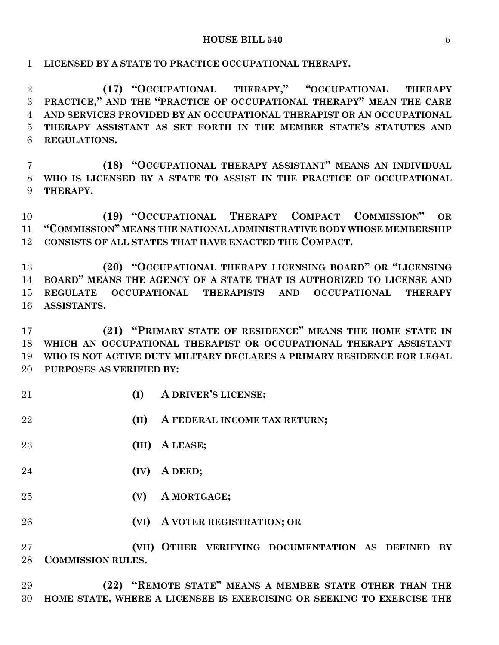#### **HOUSE BILL 540** 5

**LICENSED BY A STATE TO PRACTICE OCCUPATIONAL THERAPY.**

 **(17) "OCCUPATIONAL THERAPY," "OCCUPATIONAL THERAPY PRACTICE," AND THE "PRACTICE OF OCCUPATIONAL THERAPY" MEAN THE CARE AND SERVICES PROVIDED BY AN OCCUPATIONAL THERAPIST OR AN OCCUPATIONAL THERAPY ASSISTANT AS SET FORTH IN THE MEMBER STATE'S STATUTES AND REGULATIONS.**

 **(18) "OCCUPATIONAL THERAPY ASSISTANT" MEANS AN INDIVIDUAL WHO IS LICENSED BY A STATE TO ASSIST IN THE PRACTICE OF OCCUPATIONAL THERAPY.**

 **(19) "OCCUPATIONAL THERAPY COMPACT COMMISSION" OR "COMMISSION" MEANS THE NATIONAL ADMINISTRATIVE BODY WHOSE MEMBERSHIP CONSISTS OF ALL STATES THAT HAVE ENACTED THE COMPACT.**

 **(20) "OCCUPATIONAL THERAPY LICENSING BOARD" OR "LICENSING BOARD" MEANS THE AGENCY OF A STATE THAT IS AUTHORIZED TO LICENSE AND REGULATE OCCUPATIONAL THERAPISTS AND OCCUPATIONAL THERAPY ASSISTANTS.**

 **(21) "PRIMARY STATE OF RESIDENCE" MEANS THE HOME STATE IN WHICH AN OCCUPATIONAL THERAPIST OR OCCUPATIONAL THERAPY ASSISTANT WHO IS NOT ACTIVE DUTY MILITARY DECLARES A PRIMARY RESIDENCE FOR LEGAL PURPOSES AS VERIFIED BY:**

- **(I) A DRIVER'S LICENSE;**
- **(II) A FEDERAL INCOME TAX RETURN;**
- **(III) A LEASE;**
- **(IV) A DEED;**
- **(V) A MORTGAGE;**
- **(VI) A VOTER REGISTRATION; OR**

 **(VII) OTHER VERIFYING DOCUMENTATION AS DEFINED BY COMMISSION RULES.**

 **(22) "REMOTE STATE" MEANS A MEMBER STATE OTHER THAN THE HOME STATE, WHERE A LICENSEE IS EXERCISING OR SEEKING TO EXERCISE THE**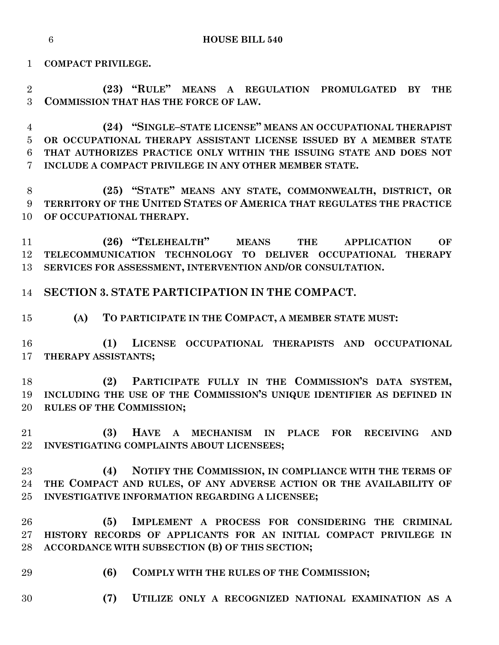**COMPACT PRIVILEGE.**

 **(23) "RULE" MEANS A REGULATION PROMULGATED BY THE COMMISSION THAT HAS THE FORCE OF LAW.**

 **(24) "SINGLE–STATE LICENSE" MEANS AN OCCUPATIONAL THERAPIST OR OCCUPATIONAL THERAPY ASSISTANT LICENSE ISSUED BY A MEMBER STATE THAT AUTHORIZES PRACTICE ONLY WITHIN THE ISSUING STATE AND DOES NOT INCLUDE A COMPACT PRIVILEGE IN ANY OTHER MEMBER STATE.**

 **(25) "STATE" MEANS ANY STATE, COMMONWEALTH, DISTRICT, OR TERRITORY OF THE UNITED STATES OF AMERICA THAT REGULATES THE PRACTICE OF OCCUPATIONAL THERAPY.**

 **(26) "TELEHEALTH" MEANS THE APPLICATION OF TELECOMMUNICATION TECHNOLOGY TO DELIVER OCCUPATIONAL THERAPY SERVICES FOR ASSESSMENT, INTERVENTION AND/OR CONSULTATION.**

**SECTION 3. STATE PARTICIPATION IN THE COMPACT.**

**(A) TO PARTICIPATE IN THE COMPACT, A MEMBER STATE MUST:**

 **(1) LICENSE OCCUPATIONAL THERAPISTS AND OCCUPATIONAL THERAPY ASSISTANTS;**

 **(2) PARTICIPATE FULLY IN THE COMMISSION'S DATA SYSTEM, INCLUDING THE USE OF THE COMMISSION'S UNIQUE IDENTIFIER AS DEFINED IN RULES OF THE COMMISSION;**

 **(3) HAVE A MECHANISM IN PLACE FOR RECEIVING AND INVESTIGATING COMPLAINTS ABOUT LICENSEES;**

 **(4) NOTIFY THE COMMISSION, IN COMPLIANCE WITH THE TERMS OF THE COMPACT AND RULES, OF ANY ADVERSE ACTION OR THE AVAILABILITY OF INVESTIGATIVE INFORMATION REGARDING A LICENSEE;**

 **(5) IMPLEMENT A PROCESS FOR CONSIDERING THE CRIMINAL HISTORY RECORDS OF APPLICANTS FOR AN INITIAL COMPACT PRIVILEGE IN ACCORDANCE WITH SUBSECTION (B) OF THIS SECTION;**

- **(6) COMPLY WITH THE RULES OF THE COMMISSION;**
- **(7) UTILIZE ONLY A RECOGNIZED NATIONAL EXAMINATION AS A**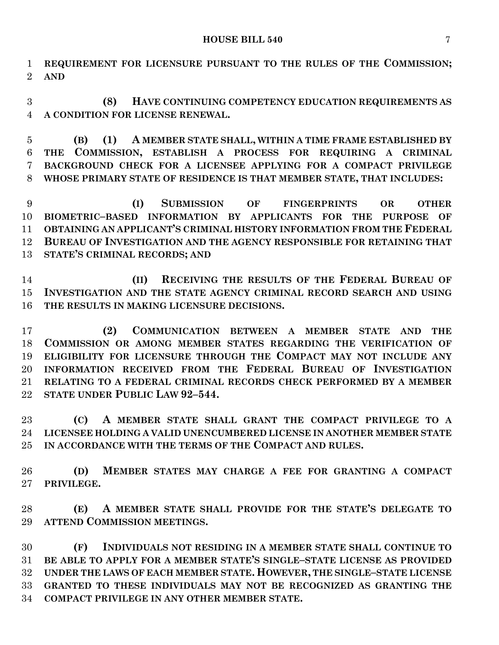**REQUIREMENT FOR LICENSURE PURSUANT TO THE RULES OF THE COMMISSION; AND**

 **(8) HAVE CONTINUING COMPETENCY EDUCATION REQUIREMENTS AS A CONDITION FOR LICENSE RENEWAL.**

 **(B) (1) A MEMBER STATE SHALL, WITHIN A TIME FRAME ESTABLISHED BY THE COMMISSION, ESTABLISH A PROCESS FOR REQUIRING A CRIMINAL BACKGROUND CHECK FOR A LICENSEE APPLYING FOR A COMPACT PRIVILEGE WHOSE PRIMARY STATE OF RESIDENCE IS THAT MEMBER STATE, THAT INCLUDES:**

 **(I) SUBMISSION OF FINGERPRINTS OR OTHER BIOMETRIC–BASED INFORMATION BY APPLICANTS FOR THE PURPOSE OF OBTAINING AN APPLICANT'S CRIMINAL HISTORY INFORMATION FROM THE FEDERAL BUREAU OF INVESTIGATION AND THE AGENCY RESPONSIBLE FOR RETAINING THAT STATE'S CRIMINAL RECORDS; AND**

 **(II) RECEIVING THE RESULTS OF THE FEDERAL BUREAU OF INVESTIGATION AND THE STATE AGENCY CRIMINAL RECORD SEARCH AND USING THE RESULTS IN MAKING LICENSURE DECISIONS.**

 **(2) COMMUNICATION BETWEEN A MEMBER STATE AND THE COMMISSION OR AMONG MEMBER STATES REGARDING THE VERIFICATION OF ELIGIBILITY FOR LICENSURE THROUGH THE COMPACT MAY NOT INCLUDE ANY INFORMATION RECEIVED FROM THE FEDERAL BUREAU OF INVESTIGATION RELATING TO A FEDERAL CRIMINAL RECORDS CHECK PERFORMED BY A MEMBER STATE UNDER PUBLIC LAW 92–544.**

 **(C) A MEMBER STATE SHALL GRANT THE COMPACT PRIVILEGE TO A LICENSEE HOLDING A VALID UNENCUMBERED LICENSE IN ANOTHER MEMBER STATE IN ACCORDANCE WITH THE TERMS OF THE COMPACT AND RULES.**

 **(D) MEMBER STATES MAY CHARGE A FEE FOR GRANTING A COMPACT PRIVILEGE.**

 **(E) A MEMBER STATE SHALL PROVIDE FOR THE STATE'S DELEGATE TO ATTEND COMMISSION MEETINGS.**

 **(F) INDIVIDUALS NOT RESIDING IN A MEMBER STATE SHALL CONTINUE TO BE ABLE TO APPLY FOR A MEMBER STATE'S SINGLE–STATE LICENSE AS PROVIDED UNDER THE LAWS OF EACH MEMBER STATE. HOWEVER, THE SINGLE–STATE LICENSE GRANTED TO THESE INDIVIDUALS MAY NOT BE RECOGNIZED AS GRANTING THE COMPACT PRIVILEGE IN ANY OTHER MEMBER STATE.**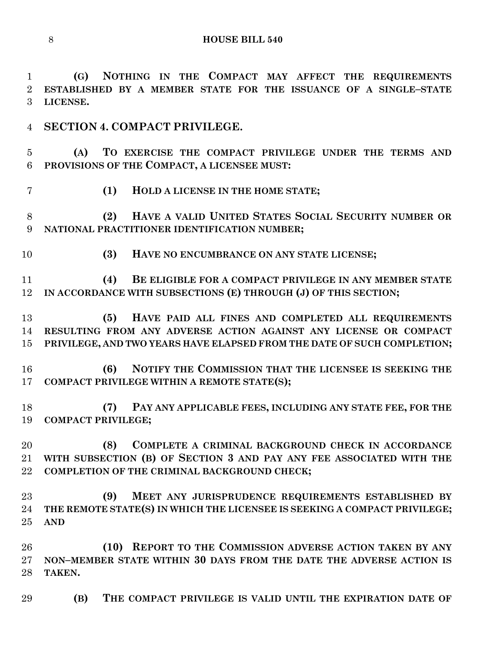**(G) NOTHING IN THE COMPACT MAY AFFECT THE REQUIREMENTS ESTABLISHED BY A MEMBER STATE FOR THE ISSUANCE OF A SINGLE–STATE LICENSE.**

**SECTION 4. COMPACT PRIVILEGE.**

 **(A) TO EXERCISE THE COMPACT PRIVILEGE UNDER THE TERMS AND PROVISIONS OF THE COMPACT, A LICENSEE MUST:**

**(1) HOLD A LICENSE IN THE HOME STATE;**

 **(2) HAVE A VALID UNITED STATES SOCIAL SECURITY NUMBER OR NATIONAL PRACTITIONER IDENTIFICATION NUMBER;**

**(3) HAVE NO ENCUMBRANCE ON ANY STATE LICENSE;**

 **(4) BE ELIGIBLE FOR A COMPACT PRIVILEGE IN ANY MEMBER STATE IN ACCORDANCE WITH SUBSECTIONS (E) THROUGH (J) OF THIS SECTION;**

 **(5) HAVE PAID ALL FINES AND COMPLETED ALL REQUIREMENTS RESULTING FROM ANY ADVERSE ACTION AGAINST ANY LICENSE OR COMPACT PRIVILEGE, AND TWO YEARS HAVE ELAPSED FROM THE DATE OF SUCH COMPLETION;**

 **(6) NOTIFY THE COMMISSION THAT THE LICENSEE IS SEEKING THE COMPACT PRIVILEGE WITHIN A REMOTE STATE(S);**

 **(7) PAY ANY APPLICABLE FEES, INCLUDING ANY STATE FEE, FOR THE COMPACT PRIVILEGE;**

 **(8) COMPLETE A CRIMINAL BACKGROUND CHECK IN ACCORDANCE WITH SUBSECTION (B) OF SECTION 3 AND PAY ANY FEE ASSOCIATED WITH THE COMPLETION OF THE CRIMINAL BACKGROUND CHECK;**

 **(9) MEET ANY JURISPRUDENCE REQUIREMENTS ESTABLISHED BY THE REMOTE STATE(S) IN WHICH THE LICENSEE IS SEEKING A COMPACT PRIVILEGE; AND**

 **(10) REPORT TO THE COMMISSION ADVERSE ACTION TAKEN BY ANY NON–MEMBER STATE WITHIN 30 DAYS FROM THE DATE THE ADVERSE ACTION IS TAKEN.**

**(B) THE COMPACT PRIVILEGE IS VALID UNTIL THE EXPIRATION DATE OF**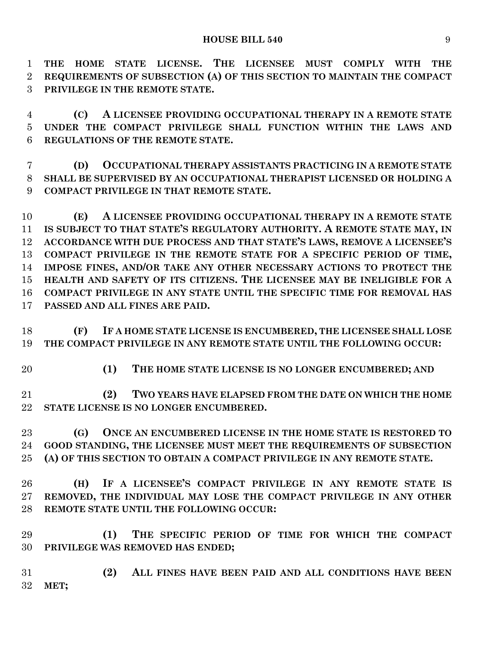**THE HOME STATE LICENSE. THE LICENSEE MUST COMPLY WITH THE REQUIREMENTS OF SUBSECTION (A) OF THIS SECTION TO MAINTAIN THE COMPACT PRIVILEGE IN THE REMOTE STATE.**

 **(C) A LICENSEE PROVIDING OCCUPATIONAL THERAPY IN A REMOTE STATE UNDER THE COMPACT PRIVILEGE SHALL FUNCTION WITHIN THE LAWS AND REGULATIONS OF THE REMOTE STATE.**

 **(D) OCCUPATIONAL THERAPY ASSISTANTS PRACTICING IN A REMOTE STATE SHALL BE SUPERVISED BY AN OCCUPATIONAL THERAPIST LICENSED OR HOLDING A COMPACT PRIVILEGE IN THAT REMOTE STATE.**

 **(E) A LICENSEE PROVIDING OCCUPATIONAL THERAPY IN A REMOTE STATE IS SUBJECT TO THAT STATE'S REGULATORY AUTHORITY. A REMOTE STATE MAY, IN ACCORDANCE WITH DUE PROCESS AND THAT STATE'S LAWS, REMOVE A LICENSEE'S COMPACT PRIVILEGE IN THE REMOTE STATE FOR A SPECIFIC PERIOD OF TIME, IMPOSE FINES, AND/OR TAKE ANY OTHER NECESSARY ACTIONS TO PROTECT THE HEALTH AND SAFETY OF ITS CITIZENS. THE LICENSEE MAY BE INELIGIBLE FOR A COMPACT PRIVILEGE IN ANY STATE UNTIL THE SPECIFIC TIME FOR REMOVAL HAS PASSED AND ALL FINES ARE PAID.**

 **(F) IF A HOME STATE LICENSE IS ENCUMBERED, THE LICENSEE SHALL LOSE THE COMPACT PRIVILEGE IN ANY REMOTE STATE UNTIL THE FOLLOWING OCCUR:**

**(1) THE HOME STATE LICENSE IS NO LONGER ENCUMBERED; AND**

 **(2) TWO YEARS HAVE ELAPSED FROM THE DATE ON WHICH THE HOME STATE LICENSE IS NO LONGER ENCUMBERED.**

 **(G) ONCE AN ENCUMBERED LICENSE IN THE HOME STATE IS RESTORED TO GOOD STANDING, THE LICENSEE MUST MEET THE REQUIREMENTS OF SUBSECTION (A) OF THIS SECTION TO OBTAIN A COMPACT PRIVILEGE IN ANY REMOTE STATE.**

 **(H) IF A LICENSEE'S COMPACT PRIVILEGE IN ANY REMOTE STATE IS REMOVED, THE INDIVIDUAL MAY LOSE THE COMPACT PRIVILEGE IN ANY OTHER REMOTE STATE UNTIL THE FOLLOWING OCCUR:**

 **(1) THE SPECIFIC PERIOD OF TIME FOR WHICH THE COMPACT PRIVILEGE WAS REMOVED HAS ENDED;**

 **(2) ALL FINES HAVE BEEN PAID AND ALL CONDITIONS HAVE BEEN MET;**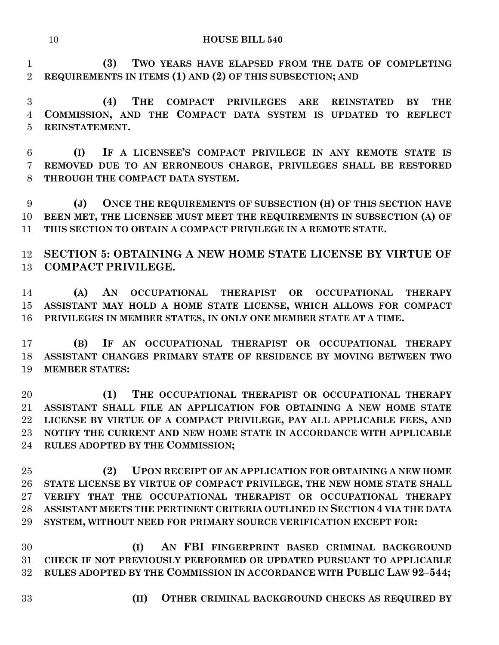**(3) TWO YEARS HAVE ELAPSED FROM THE DATE OF COMPLETING REQUIREMENTS IN ITEMS (1) AND (2) OF THIS SUBSECTION; AND**

 **(4) THE COMPACT PRIVILEGES ARE REINSTATED BY THE COMMISSION, AND THE COMPACT DATA SYSTEM IS UPDATED TO REFLECT REINSTATEMENT.**

 **(I) IF A LICENSEE'S COMPACT PRIVILEGE IN ANY REMOTE STATE IS REMOVED DUE TO AN ERRONEOUS CHARGE, PRIVILEGES SHALL BE RESTORED THROUGH THE COMPACT DATA SYSTEM.**

 **(J) ONCE THE REQUIREMENTS OF SUBSECTION (H) OF THIS SECTION HAVE BEEN MET, THE LICENSEE MUST MEET THE REQUIREMENTS IN SUBSECTION (A) OF THIS SECTION TO OBTAIN A COMPACT PRIVILEGE IN A REMOTE STATE.**

 **SECTION 5: OBTAINING A NEW HOME STATE LICENSE BY VIRTUE OF COMPACT PRIVILEGE.**

 **(A) AN OCCUPATIONAL THERAPIST OR OCCUPATIONAL THERAPY ASSISTANT MAY HOLD A HOME STATE LICENSE, WHICH ALLOWS FOR COMPACT PRIVILEGES IN MEMBER STATES, IN ONLY ONE MEMBER STATE AT A TIME.**

 **(B) IF AN OCCUPATIONAL THERAPIST OR OCCUPATIONAL THERAPY ASSISTANT CHANGES PRIMARY STATE OF RESIDENCE BY MOVING BETWEEN TWO MEMBER STATES:**

 **(1) THE OCCUPATIONAL THERAPIST OR OCCUPATIONAL THERAPY ASSISTANT SHALL FILE AN APPLICATION FOR OBTAINING A NEW HOME STATE LICENSE BY VIRTUE OF A COMPACT PRIVILEGE, PAY ALL APPLICABLE FEES, AND NOTIFY THE CURRENT AND NEW HOME STATE IN ACCORDANCE WITH APPLICABLE RULES ADOPTED BY THE COMMISSION;**

 **(2) UPON RECEIPT OF AN APPLICATION FOR OBTAINING A NEW HOME STATE LICENSE BY VIRTUE OF COMPACT PRIVILEGE, THE NEW HOME STATE SHALL VERIFY THAT THE OCCUPATIONAL THERAPIST OR OCCUPATIONAL THERAPY ASSISTANT MEETS THE PERTINENT CRITERIA OUTLINED IN SECTION 4 VIA THE DATA SYSTEM, WITHOUT NEED FOR PRIMARY SOURCE VERIFICATION EXCEPT FOR:**

 **(I) AN FBI FINGERPRINT BASED CRIMINAL BACKGROUND CHECK IF NOT PREVIOUSLY PERFORMED OR UPDATED PURSUANT TO APPLICABLE RULES ADOPTED BY THE COMMISSION IN ACCORDANCE WITH PUBLIC LAW 92–544;**

- 
- **(II) OTHER CRIMINAL BACKGROUND CHECKS AS REQUIRED BY**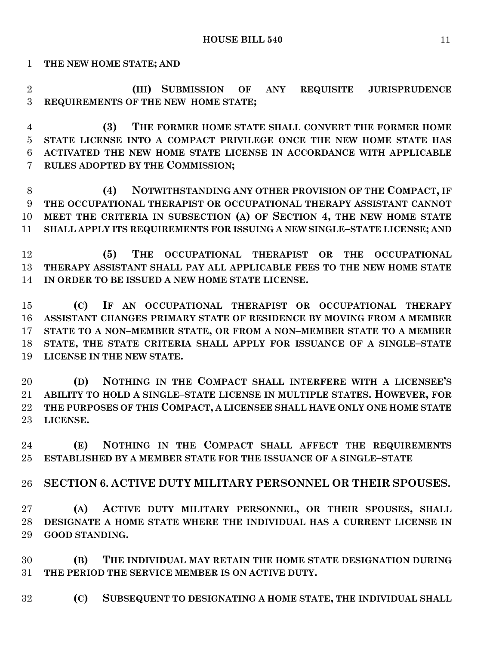**THE NEW HOME STATE; AND**

 **(III) SUBMISSION OF ANY REQUISITE JURISPRUDENCE REQUIREMENTS OF THE NEW HOME STATE;**

 **(3) THE FORMER HOME STATE SHALL CONVERT THE FORMER HOME STATE LICENSE INTO A COMPACT PRIVILEGE ONCE THE NEW HOME STATE HAS ACTIVATED THE NEW HOME STATE LICENSE IN ACCORDANCE WITH APPLICABLE RULES ADOPTED BY THE COMMISSION;**

 **(4) NOTWITHSTANDING ANY OTHER PROVISION OF THE COMPACT, IF THE OCCUPATIONAL THERAPIST OR OCCUPATIONAL THERAPY ASSISTANT CANNOT MEET THE CRITERIA IN SUBSECTION (A) OF SECTION 4, THE NEW HOME STATE SHALL APPLY ITS REQUIREMENTS FOR ISSUING A NEW SINGLE–STATE LICENSE; AND**

 **(5) THE OCCUPATIONAL THERAPIST OR THE OCCUPATIONAL THERAPY ASSISTANT SHALL PAY ALL APPLICABLE FEES TO THE NEW HOME STATE IN ORDER TO BE ISSUED A NEW HOME STATE LICENSE.**

 **(C) IF AN OCCUPATIONAL THERAPIST OR OCCUPATIONAL THERAPY ASSISTANT CHANGES PRIMARY STATE OF RESIDENCE BY MOVING FROM A MEMBER STATE TO A NON–MEMBER STATE, OR FROM A NON–MEMBER STATE TO A MEMBER STATE, THE STATE CRITERIA SHALL APPLY FOR ISSUANCE OF A SINGLE–STATE LICENSE IN THE NEW STATE.**

 **(D) NOTHING IN THE COMPACT SHALL INTERFERE WITH A LICENSEE'S ABILITY TO HOLD A SINGLE–STATE LICENSE IN MULTIPLE STATES. HOWEVER, FOR THE PURPOSES OF THIS COMPACT, A LICENSEE SHALL HAVE ONLY ONE HOME STATE LICENSE.**

 **(E) NOTHING IN THE COMPACT SHALL AFFECT THE REQUIREMENTS ESTABLISHED BY A MEMBER STATE FOR THE ISSUANCE OF A SINGLE–STATE** 

**SECTION 6. ACTIVE DUTY MILITARY PERSONNEL OR THEIR SPOUSES.**

 **(A) ACTIVE DUTY MILITARY PERSONNEL, OR THEIR SPOUSES, SHALL DESIGNATE A HOME STATE WHERE THE INDIVIDUAL HAS A CURRENT LICENSE IN GOOD STANDING.**

 **(B) THE INDIVIDUAL MAY RETAIN THE HOME STATE DESIGNATION DURING THE PERIOD THE SERVICE MEMBER IS ON ACTIVE DUTY.**

**(C) SUBSEQUENT TO DESIGNATING A HOME STATE, THE INDIVIDUAL SHALL**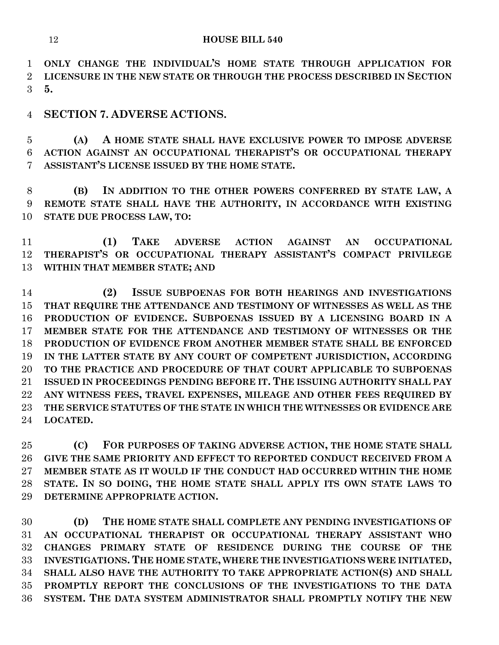**ONLY CHANGE THE INDIVIDUAL'S HOME STATE THROUGH APPLICATION FOR LICENSURE IN THE NEW STATE OR THROUGH THE PROCESS DESCRIBED IN SECTION 5.**

**SECTION 7. ADVERSE ACTIONS.**

 **(A) A HOME STATE SHALL HAVE EXCLUSIVE POWER TO IMPOSE ADVERSE ACTION AGAINST AN OCCUPATIONAL THERAPIST'S OR OCCUPATIONAL THERAPY ASSISTANT'S LICENSE ISSUED BY THE HOME STATE.**

 **(B) IN ADDITION TO THE OTHER POWERS CONFERRED BY STATE LAW, A REMOTE STATE SHALL HAVE THE AUTHORITY, IN ACCORDANCE WITH EXISTING STATE DUE PROCESS LAW, TO:**

 **(1) TAKE ADVERSE ACTION AGAINST AN OCCUPATIONAL THERAPIST'S OR OCCUPATIONAL THERAPY ASSISTANT'S COMPACT PRIVILEGE WITHIN THAT MEMBER STATE; AND**

 **(2) ISSUE SUBPOENAS FOR BOTH HEARINGS AND INVESTIGATIONS THAT REQUIRE THE ATTENDANCE AND TESTIMONY OF WITNESSES AS WELL AS THE PRODUCTION OF EVIDENCE. SUBPOENAS ISSUED BY A LICENSING BOARD IN A MEMBER STATE FOR THE ATTENDANCE AND TESTIMONY OF WITNESSES OR THE PRODUCTION OF EVIDENCE FROM ANOTHER MEMBER STATE SHALL BE ENFORCED IN THE LATTER STATE BY ANY COURT OF COMPETENT JURISDICTION, ACCORDING TO THE PRACTICE AND PROCEDURE OF THAT COURT APPLICABLE TO SUBPOENAS ISSUED IN PROCEEDINGS PENDING BEFORE IT. THE ISSUING AUTHORITY SHALL PAY ANY WITNESS FEES, TRAVEL EXPENSES, MILEAGE AND OTHER FEES REQUIRED BY THE SERVICE STATUTES OF THE STATE IN WHICH THE WITNESSES OR EVIDENCE ARE LOCATED.**

 **(C) FOR PURPOSES OF TAKING ADVERSE ACTION, THE HOME STATE SHALL GIVE THE SAME PRIORITY AND EFFECT TO REPORTED CONDUCT RECEIVED FROM A MEMBER STATE AS IT WOULD IF THE CONDUCT HAD OCCURRED WITHIN THE HOME STATE. IN SO DOING, THE HOME STATE SHALL APPLY ITS OWN STATE LAWS TO DETERMINE APPROPRIATE ACTION.**

 **(D) THE HOME STATE SHALL COMPLETE ANY PENDING INVESTIGATIONS OF AN OCCUPATIONAL THERAPIST OR OCCUPATIONAL THERAPY ASSISTANT WHO CHANGES PRIMARY STATE OF RESIDENCE DURING THE COURSE OF THE INVESTIGATIONS. THE HOME STATE, WHERE THE INVESTIGATIONS WERE INITIATED, SHALL ALSO HAVE THE AUTHORITY TO TAKE APPROPRIATE ACTION(S) AND SHALL PROMPTLY REPORT THE CONCLUSIONS OF THE INVESTIGATIONS TO THE DATA SYSTEM. THE DATA SYSTEM ADMINISTRATOR SHALL PROMPTLY NOTIFY THE NEW**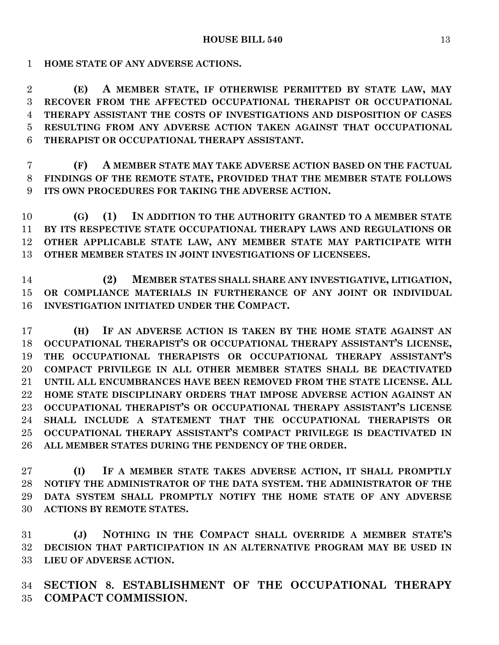**HOME STATE OF ANY ADVERSE ACTIONS.**

 **(E) A MEMBER STATE, IF OTHERWISE PERMITTED BY STATE LAW, MAY RECOVER FROM THE AFFECTED OCCUPATIONAL THERAPIST OR OCCUPATIONAL THERAPY ASSISTANT THE COSTS OF INVESTIGATIONS AND DISPOSITION OF CASES RESULTING FROM ANY ADVERSE ACTION TAKEN AGAINST THAT OCCUPATIONAL THERAPIST OR OCCUPATIONAL THERAPY ASSISTANT.**

 **(F) A MEMBER STATE MAY TAKE ADVERSE ACTION BASED ON THE FACTUAL FINDINGS OF THE REMOTE STATE, PROVIDED THAT THE MEMBER STATE FOLLOWS ITS OWN PROCEDURES FOR TAKING THE ADVERSE ACTION.**

 **(G) (1) IN ADDITION TO THE AUTHORITY GRANTED TO A MEMBER STATE BY ITS RESPECTIVE STATE OCCUPATIONAL THERAPY LAWS AND REGULATIONS OR OTHER APPLICABLE STATE LAW, ANY MEMBER STATE MAY PARTICIPATE WITH OTHER MEMBER STATES IN JOINT INVESTIGATIONS OF LICENSEES.**

 **(2) MEMBER STATES SHALL SHARE ANY INVESTIGATIVE, LITIGATION, OR COMPLIANCE MATERIALS IN FURTHERANCE OF ANY JOINT OR INDIVIDUAL INVESTIGATION INITIATED UNDER THE COMPACT.**

 **(H) IF AN ADVERSE ACTION IS TAKEN BY THE HOME STATE AGAINST AN OCCUPATIONAL THERAPIST'S OR OCCUPATIONAL THERAPY ASSISTANT'S LICENSE, THE OCCUPATIONAL THERAPISTS OR OCCUPATIONAL THERAPY ASSISTANT'S COMPACT PRIVILEGE IN ALL OTHER MEMBER STATES SHALL BE DEACTIVATED UNTIL ALL ENCUMBRANCES HAVE BEEN REMOVED FROM THE STATE LICENSE. ALL HOME STATE DISCIPLINARY ORDERS THAT IMPOSE ADVERSE ACTION AGAINST AN OCCUPATIONAL THERAPIST'S OR OCCUPATIONAL THERAPY ASSISTANT'S LICENSE SHALL INCLUDE A STATEMENT THAT THE OCCUPATIONAL THERAPISTS OR OCCUPATIONAL THERAPY ASSISTANT'S COMPACT PRIVILEGE IS DEACTIVATED IN ALL MEMBER STATES DURING THE PENDENCY OF THE ORDER.**

 **(I) IF A MEMBER STATE TAKES ADVERSE ACTION, IT SHALL PROMPTLY NOTIFY THE ADMINISTRATOR OF THE DATA SYSTEM. THE ADMINISTRATOR OF THE DATA SYSTEM SHALL PROMPTLY NOTIFY THE HOME STATE OF ANY ADVERSE ACTIONS BY REMOTE STATES.**

 **(J) NOTHING IN THE COMPACT SHALL OVERRIDE A MEMBER STATE'S DECISION THAT PARTICIPATION IN AN ALTERNATIVE PROGRAM MAY BE USED IN LIEU OF ADVERSE ACTION.**

 **SECTION 8. ESTABLISHMENT OF THE OCCUPATIONAL THERAPY COMPACT COMMISSION.**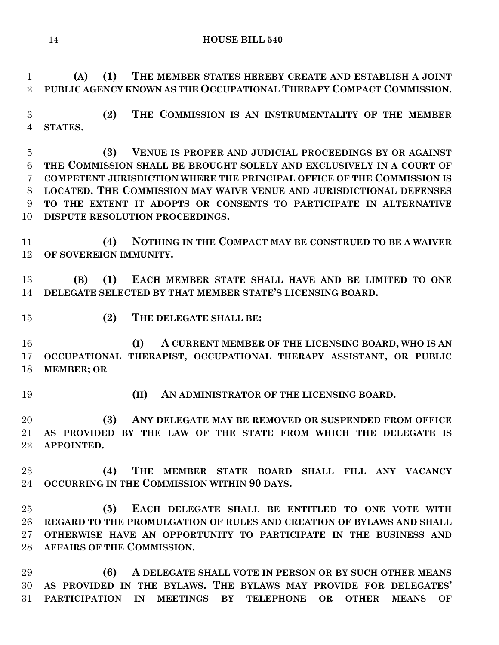**(A) (1) THE MEMBER STATES HEREBY CREATE AND ESTABLISH A JOINT PUBLIC AGENCY KNOWN AS THE OCCUPATIONAL THERAPY COMPACT COMMISSION.**

 **(2) THE COMMISSION IS AN INSTRUMENTALITY OF THE MEMBER STATES.**

 **(3) VENUE IS PROPER AND JUDICIAL PROCEEDINGS BY OR AGAINST THE COMMISSION SHALL BE BROUGHT SOLELY AND EXCLUSIVELY IN A COURT OF COMPETENT JURISDICTION WHERE THE PRINCIPAL OFFICE OF THE COMMISSION IS LOCATED. THE COMMISSION MAY WAIVE VENUE AND JURISDICTIONAL DEFENSES TO THE EXTENT IT ADOPTS OR CONSENTS TO PARTICIPATE IN ALTERNATIVE DISPUTE RESOLUTION PROCEEDINGS.**

 **(4) NOTHING IN THE COMPACT MAY BE CONSTRUED TO BE A WAIVER OF SOVEREIGN IMMUNITY.**

 **(B) (1) EACH MEMBER STATE SHALL HAVE AND BE LIMITED TO ONE DELEGATE SELECTED BY THAT MEMBER STATE'S LICENSING BOARD.**

**(2) THE DELEGATE SHALL BE:**

 **(I) A CURRENT MEMBER OF THE LICENSING BOARD, WHO IS AN OCCUPATIONAL THERAPIST, OCCUPATIONAL THERAPY ASSISTANT, OR PUBLIC MEMBER; OR** 

- 
- **(II) AN ADMINISTRATOR OF THE LICENSING BOARD.**

 **(3) ANY DELEGATE MAY BE REMOVED OR SUSPENDED FROM OFFICE AS PROVIDED BY THE LAW OF THE STATE FROM WHICH THE DELEGATE IS APPOINTED.**

 **(4) THE MEMBER STATE BOARD SHALL FILL ANY VACANCY OCCURRING IN THE COMMISSION WITHIN 90 DAYS.**

 **(5) EACH DELEGATE SHALL BE ENTITLED TO ONE VOTE WITH REGARD TO THE PROMULGATION OF RULES AND CREATION OF BYLAWS AND SHALL OTHERWISE HAVE AN OPPORTUNITY TO PARTICIPATE IN THE BUSINESS AND AFFAIRS OF THE COMMISSION.**

 **(6) A DELEGATE SHALL VOTE IN PERSON OR BY SUCH OTHER MEANS AS PROVIDED IN THE BYLAWS. THE BYLAWS MAY PROVIDE FOR DELEGATES' PARTICIPATION IN MEETINGS BY TELEPHONE OR OTHER MEANS OF**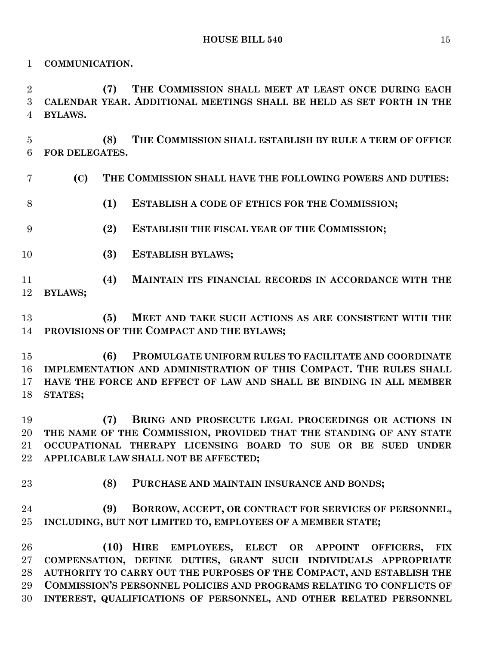**COMMUNICATION.**

 **(7) THE COMMISSION SHALL MEET AT LEAST ONCE DURING EACH CALENDAR YEAR. ADDITIONAL MEETINGS SHALL BE HELD AS SET FORTH IN THE BYLAWS.**

 **(8) THE COMMISSION SHALL ESTABLISH BY RULE A TERM OF OFFICE FOR DELEGATES.**

- **(C) THE COMMISSION SHALL HAVE THE FOLLOWING POWERS AND DUTIES:**
- **(1) ESTABLISH A CODE OF ETHICS FOR THE COMMISSION;**
- **(2) ESTABLISH THE FISCAL YEAR OF THE COMMISSION;**
- **(3) ESTABLISH BYLAWS;**
- **(4) MAINTAIN ITS FINANCIAL RECORDS IN ACCORDANCE WITH THE BYLAWS;**
- **(5) MEET AND TAKE SUCH ACTIONS AS ARE CONSISTENT WITH THE PROVISIONS OF THE COMPACT AND THE BYLAWS;**
- **(6) PROMULGATE UNIFORM RULES TO FACILITATE AND COORDINATE IMPLEMENTATION AND ADMINISTRATION OF THIS COMPACT. THE RULES SHALL HAVE THE FORCE AND EFFECT OF LAW AND SHALL BE BINDING IN ALL MEMBER STATES;**

 **(7) BRING AND PROSECUTE LEGAL PROCEEDINGS OR ACTIONS IN THE NAME OF THE COMMISSION, PROVIDED THAT THE STANDING OF ANY STATE OCCUPATIONAL THERAPY LICENSING BOARD TO SUE OR BE SUED UNDER APPLICABLE LAW SHALL NOT BE AFFECTED;**

- 
- **(8) PURCHASE AND MAINTAIN INSURANCE AND BONDS;**

 **(9) BORROW, ACCEPT, OR CONTRACT FOR SERVICES OF PERSONNEL, INCLUDING, BUT NOT LIMITED TO, EMPLOYEES OF A MEMBER STATE;**

 **(10) HIRE EMPLOYEES, ELECT OR APPOINT OFFICERS, FIX COMPENSATION, DEFINE DUTIES, GRANT SUCH INDIVIDUALS APPROPRIATE AUTHORITY TO CARRY OUT THE PURPOSES OF THE COMPACT, AND ESTABLISH THE COMMISSION'S PERSONNEL POLICIES AND PROGRAMS RELATING TO CONFLICTS OF INTEREST, QUALIFICATIONS OF PERSONNEL, AND OTHER RELATED PERSONNEL**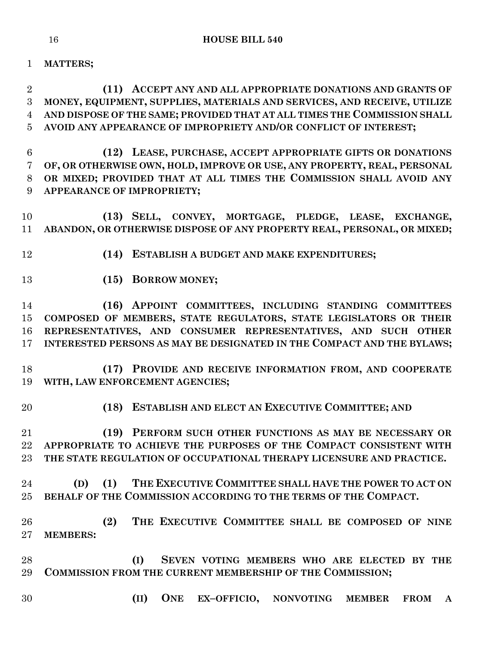**MATTERS;**

 **(11) ACCEPT ANY AND ALL APPROPRIATE DONATIONS AND GRANTS OF MONEY, EQUIPMENT, SUPPLIES, MATERIALS AND SERVICES, AND RECEIVE, UTILIZE AND DISPOSE OF THE SAME; PROVIDED THAT AT ALL TIMES THE COMMISSION SHALL AVOID ANY APPEARANCE OF IMPROPRIETY AND/OR CONFLICT OF INTEREST;**

 **(12) LEASE, PURCHASE, ACCEPT APPROPRIATE GIFTS OR DONATIONS OF, OR OTHERWISE OWN, HOLD, IMPROVE OR USE, ANY PROPERTY, REAL, PERSONAL OR MIXED; PROVIDED THAT AT ALL TIMES THE COMMISSION SHALL AVOID ANY APPEARANCE OF IMPROPRIETY;**

 **(13) SELL, CONVEY, MORTGAGE, PLEDGE, LEASE, EXCHANGE, ABANDON, OR OTHERWISE DISPOSE OF ANY PROPERTY REAL, PERSONAL, OR MIXED;**

- **(14) ESTABLISH A BUDGET AND MAKE EXPENDITURES;**
- 

**(15) BORROW MONEY;**

 **(16) APPOINT COMMITTEES, INCLUDING STANDING COMMITTEES COMPOSED OF MEMBERS, STATE REGULATORS, STATE LEGISLATORS OR THEIR REPRESENTATIVES, AND CONSUMER REPRESENTATIVES, AND SUCH OTHER INTERESTED PERSONS AS MAY BE DESIGNATED IN THE COMPACT AND THE BYLAWS;**

 **(17) PROVIDE AND RECEIVE INFORMATION FROM, AND COOPERATE WITH, LAW ENFORCEMENT AGENCIES;**

**(18) ESTABLISH AND ELECT AN EXECUTIVE COMMITTEE; AND**

 **(19) PERFORM SUCH OTHER FUNCTIONS AS MAY BE NECESSARY OR APPROPRIATE TO ACHIEVE THE PURPOSES OF THE COMPACT CONSISTENT WITH THE STATE REGULATION OF OCCUPATIONAL THERAPY LICENSURE AND PRACTICE.**

 **(D) (1) THE EXECUTIVE COMMITTEE SHALL HAVE THE POWER TO ACT ON BEHALF OF THE COMMISSION ACCORDING TO THE TERMS OF THE COMPACT.**

 **(2) THE EXECUTIVE COMMITTEE SHALL BE COMPOSED OF NINE MEMBERS:**

 **(I) SEVEN VOTING MEMBERS WHO ARE ELECTED BY THE COMMISSION FROM THE CURRENT MEMBERSHIP OF THE COMMISSION;**

- 
- **(II) ONE EX–OFFICIO, NONVOTING MEMBER FROM A**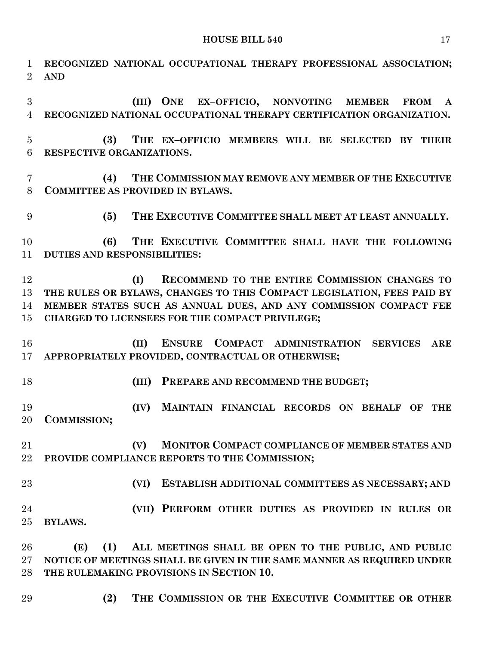**RECOGNIZED NATIONAL OCCUPATIONAL THERAPY PROFESSIONAL ASSOCIATION; AND (III) ONE EX–OFFICIO, NONVOTING MEMBER FROM A RECOGNIZED NATIONAL OCCUPATIONAL THERAPY CERTIFICATION ORGANIZATION. (3) THE EX–OFFICIO MEMBERS WILL BE SELECTED BY THEIR RESPECTIVE ORGANIZATIONS. (4) THE COMMISSION MAY REMOVE ANY MEMBER OF THE EXECUTIVE COMMITTEE AS PROVIDED IN BYLAWS. (5) THE EXECUTIVE COMMITTEE SHALL MEET AT LEAST ANNUALLY. (6) THE EXECUTIVE COMMITTEE SHALL HAVE THE FOLLOWING DUTIES AND RESPONSIBILITIES: (I) RECOMMEND TO THE ENTIRE COMMISSION CHANGES TO THE RULES OR BYLAWS, CHANGES TO THIS COMPACT LEGISLATION, FEES PAID BY MEMBER STATES SUCH AS ANNUAL DUES, AND ANY COMMISSION COMPACT FEE CHARGED TO LICENSEES FOR THE COMPACT PRIVILEGE; (II) ENSURE COMPACT ADMINISTRATION SERVICES ARE APPROPRIATELY PROVIDED, CONTRACTUAL OR OTHERWISE; (III) PREPARE AND RECOMMEND THE BUDGET; (IV) MAINTAIN FINANCIAL RECORDS ON BEHALF OF THE COMMISSION; (V) MONITOR COMPACT COMPLIANCE OF MEMBER STATES AND PROVIDE COMPLIANCE REPORTS TO THE COMMISSION; (VI) ESTABLISH ADDITIONAL COMMITTEES AS NECESSARY; AND (VII) PERFORM OTHER DUTIES AS PROVIDED IN RULES OR BYLAWS. (E) (1) ALL MEETINGS SHALL BE OPEN TO THE PUBLIC, AND PUBLIC NOTICE OF MEETINGS SHALL BE GIVEN IN THE SAME MANNER AS REQUIRED UNDER THE RULEMAKING PROVISIONS IN SECTION 10. (2) THE COMMISSION OR THE EXECUTIVE COMMITTEE OR OTHER**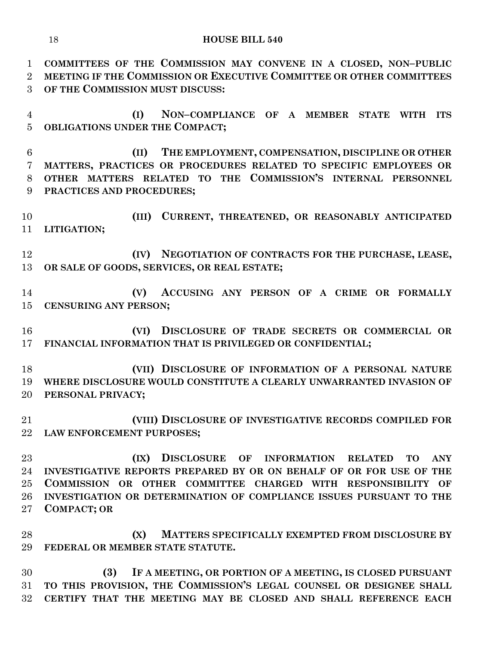**COMMITTEES OF THE COMMISSION MAY CONVENE IN A CLOSED, NON–PUBLIC MEETING IF THE COMMISSION OR EXECUTIVE COMMITTEE OR OTHER COMMITTEES OF THE COMMISSION MUST DISCUSS:**

 **(I) NON–COMPLIANCE OF A MEMBER STATE WITH ITS OBLIGATIONS UNDER THE COMPACT;**

 **(II) THE EMPLOYMENT, COMPENSATION, DISCIPLINE OR OTHER MATTERS, PRACTICES OR PROCEDURES RELATED TO SPECIFIC EMPLOYEES OR OTHER MATTERS RELATED TO THE COMMISSION'S INTERNAL PERSONNEL PRACTICES AND PROCEDURES;**

 **(III) CURRENT, THREATENED, OR REASONABLY ANTICIPATED LITIGATION;**

 **(IV) NEGOTIATION OF CONTRACTS FOR THE PURCHASE, LEASE, OR SALE OF GOODS, SERVICES, OR REAL ESTATE;**

 **(V) ACCUSING ANY PERSON OF A CRIME OR FORMALLY CENSURING ANY PERSON;**

 **(VI) DISCLOSURE OF TRADE SECRETS OR COMMERCIAL OR FINANCIAL INFORMATION THAT IS PRIVILEGED OR CONFIDENTIAL;**

 **(VII) DISCLOSURE OF INFORMATION OF A PERSONAL NATURE WHERE DISCLOSURE WOULD CONSTITUTE A CLEARLY UNWARRANTED INVASION OF PERSONAL PRIVACY;**

 **(VIII) DISCLOSURE OF INVESTIGATIVE RECORDS COMPILED FOR LAW ENFORCEMENT PURPOSES;**

 **(IX) DISCLOSURE OF INFORMATION RELATED TO ANY INVESTIGATIVE REPORTS PREPARED BY OR ON BEHALF OF OR FOR USE OF THE COMMISSION OR OTHER COMMITTEE CHARGED WITH RESPONSIBILITY OF INVESTIGATION OR DETERMINATION OF COMPLIANCE ISSUES PURSUANT TO THE COMPACT; OR**

 **(X) MATTERS SPECIFICALLY EXEMPTED FROM DISCLOSURE BY FEDERAL OR MEMBER STATE STATUTE.**

 **(3) IF A MEETING, OR PORTION OF A MEETING, IS CLOSED PURSUANT TO THIS PROVISION, THE COMMISSION'S LEGAL COUNSEL OR DESIGNEE SHALL CERTIFY THAT THE MEETING MAY BE CLOSED AND SHALL REFERENCE EACH**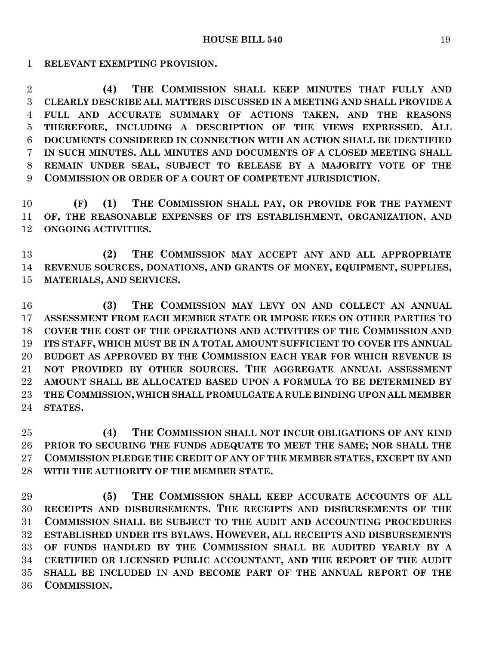**RELEVANT EXEMPTING PROVISION.**

 **(4) THE COMMISSION SHALL KEEP MINUTES THAT FULLY AND CLEARLY DESCRIBE ALL MATTERS DISCUSSED IN A MEETING AND SHALL PROVIDE A FULL AND ACCURATE SUMMARY OF ACTIONS TAKEN, AND THE REASONS THEREFORE, INCLUDING A DESCRIPTION OF THE VIEWS EXPRESSED. ALL DOCUMENTS CONSIDERED IN CONNECTION WITH AN ACTION SHALL BE IDENTIFIED IN SUCH MINUTES. ALL MINUTES AND DOCUMENTS OF A CLOSED MEETING SHALL REMAIN UNDER SEAL, SUBJECT TO RELEASE BY A MAJORITY VOTE OF THE COMMISSION OR ORDER OF A COURT OF COMPETENT JURISDICTION.**

 **(F) (1) THE COMMISSION SHALL PAY, OR PROVIDE FOR THE PAYMENT OF, THE REASONABLE EXPENSES OF ITS ESTABLISHMENT, ORGANIZATION, AND ONGOING ACTIVITIES.**

 **(2) THE COMMISSION MAY ACCEPT ANY AND ALL APPROPRIATE REVENUE SOURCES, DONATIONS, AND GRANTS OF MONEY, EQUIPMENT, SUPPLIES, MATERIALS, AND SERVICES.**

 **(3) THE COMMISSION MAY LEVY ON AND COLLECT AN ANNUAL ASSESSMENT FROM EACH MEMBER STATE OR IMPOSE FEES ON OTHER PARTIES TO COVER THE COST OF THE OPERATIONS AND ACTIVITIES OF THE COMMISSION AND ITS STAFF, WHICH MUST BE IN A TOTAL AMOUNT SUFFICIENT TO COVER ITS ANNUAL BUDGET AS APPROVED BY THE COMMISSION EACH YEAR FOR WHICH REVENUE IS NOT PROVIDED BY OTHER SOURCES. THE AGGREGATE ANNUAL ASSESSMENT AMOUNT SHALL BE ALLOCATED BASED UPON A FORMULA TO BE DETERMINED BY THE COMMISSION, WHICH SHALL PROMULGATE A RULE BINDING UPON ALL MEMBER STATES.**

 **(4) THE COMMISSION SHALL NOT INCUR OBLIGATIONS OF ANY KIND PRIOR TO SECURING THE FUNDS ADEQUATE TO MEET THE SAME; NOR SHALL THE COMMISSION PLEDGE THE CREDIT OF ANY OF THE MEMBER STATES, EXCEPT BY AND WITH THE AUTHORITY OF THE MEMBER STATE.**

 **(5) THE COMMISSION SHALL KEEP ACCURATE ACCOUNTS OF ALL RECEIPTS AND DISBURSEMENTS. THE RECEIPTS AND DISBURSEMENTS OF THE COMMISSION SHALL BE SUBJECT TO THE AUDIT AND ACCOUNTING PROCEDURES ESTABLISHED UNDER ITS BYLAWS. HOWEVER, ALL RECEIPTS AND DISBURSEMENTS OF FUNDS HANDLED BY THE COMMISSION SHALL BE AUDITED YEARLY BY A CERTIFIED OR LICENSED PUBLIC ACCOUNTANT, AND THE REPORT OF THE AUDIT SHALL BE INCLUDED IN AND BECOME PART OF THE ANNUAL REPORT OF THE COMMISSION.**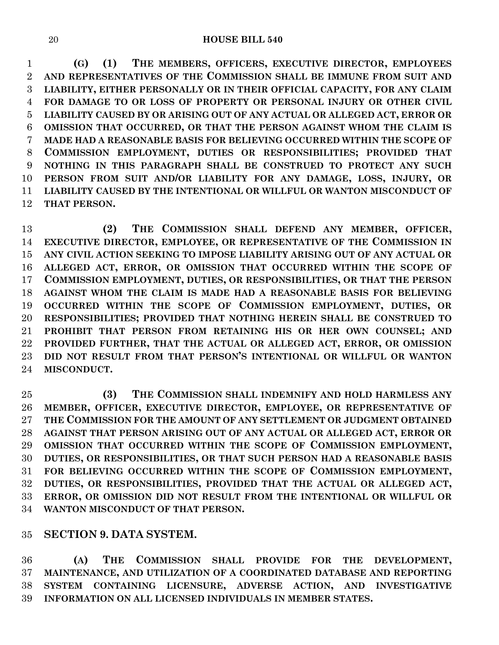**(G) (1) THE MEMBERS, OFFICERS, EXECUTIVE DIRECTOR, EMPLOYEES AND REPRESENTATIVES OF THE COMMISSION SHALL BE IMMUNE FROM SUIT AND LIABILITY, EITHER PERSONALLY OR IN THEIR OFFICIAL CAPACITY, FOR ANY CLAIM FOR DAMAGE TO OR LOSS OF PROPERTY OR PERSONAL INJURY OR OTHER CIVIL LIABILITY CAUSED BY OR ARISING OUT OF ANY ACTUAL OR ALLEGED ACT, ERROR OR OMISSION THAT OCCURRED, OR THAT THE PERSON AGAINST WHOM THE CLAIM IS MADE HAD A REASONABLE BASIS FOR BELIEVING OCCURRED WITHIN THE SCOPE OF COMMISSION EMPLOYMENT, DUTIES OR RESPONSIBILITIES; PROVIDED THAT NOTHING IN THIS PARAGRAPH SHALL BE CONSTRUED TO PROTECT ANY SUCH PERSON FROM SUIT AND/OR LIABILITY FOR ANY DAMAGE, LOSS, INJURY, OR LIABILITY CAUSED BY THE INTENTIONAL OR WILLFUL OR WANTON MISCONDUCT OF THAT PERSON.**

 **(2) THE COMMISSION SHALL DEFEND ANY MEMBER, OFFICER, EXECUTIVE DIRECTOR, EMPLOYEE, OR REPRESENTATIVE OF THE COMMISSION IN ANY CIVIL ACTION SEEKING TO IMPOSE LIABILITY ARISING OUT OF ANY ACTUAL OR ALLEGED ACT, ERROR, OR OMISSION THAT OCCURRED WITHIN THE SCOPE OF COMMISSION EMPLOYMENT, DUTIES, OR RESPONSIBILITIES, OR THAT THE PERSON AGAINST WHOM THE CLAIM IS MADE HAD A REASONABLE BASIS FOR BELIEVING OCCURRED WITHIN THE SCOPE OF COMMISSION EMPLOYMENT, DUTIES, OR RESPONSIBILITIES; PROVIDED THAT NOTHING HEREIN SHALL BE CONSTRUED TO PROHIBIT THAT PERSON FROM RETAINING HIS OR HER OWN COUNSEL; AND PROVIDED FURTHER, THAT THE ACTUAL OR ALLEGED ACT, ERROR, OR OMISSION DID NOT RESULT FROM THAT PERSON'S INTENTIONAL OR WILLFUL OR WANTON MISCONDUCT.**

 **(3) THE COMMISSION SHALL INDEMNIFY AND HOLD HARMLESS ANY MEMBER, OFFICER, EXECUTIVE DIRECTOR, EMPLOYEE, OR REPRESENTATIVE OF THE COMMISSION FOR THE AMOUNT OF ANY SETTLEMENT OR JUDGMENT OBTAINED AGAINST THAT PERSON ARISING OUT OF ANY ACTUAL OR ALLEGED ACT, ERROR OR OMISSION THAT OCCURRED WITHIN THE SCOPE OF COMMISSION EMPLOYMENT, DUTIES, OR RESPONSIBILITIES, OR THAT SUCH PERSON HAD A REASONABLE BASIS FOR BELIEVING OCCURRED WITHIN THE SCOPE OF COMMISSION EMPLOYMENT, DUTIES, OR RESPONSIBILITIES, PROVIDED THAT THE ACTUAL OR ALLEGED ACT, ERROR, OR OMISSION DID NOT RESULT FROM THE INTENTIONAL OR WILLFUL OR WANTON MISCONDUCT OF THAT PERSON.**

# **SECTION 9. DATA SYSTEM.**

 **(A) THE COMMISSION SHALL PROVIDE FOR THE DEVELOPMENT, MAINTENANCE, AND UTILIZATION OF A COORDINATED DATABASE AND REPORTING SYSTEM CONTAINING LICENSURE, ADVERSE ACTION, AND INVESTIGATIVE INFORMATION ON ALL LICENSED INDIVIDUALS IN MEMBER STATES.**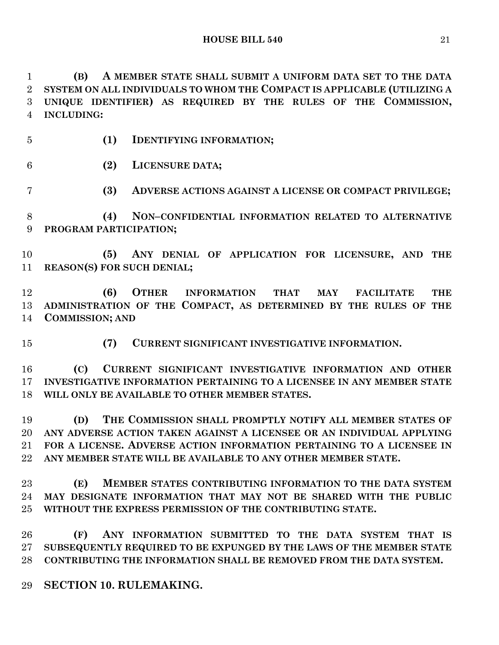**(B) A MEMBER STATE SHALL SUBMIT A UNIFORM DATA SET TO THE DATA SYSTEM ON ALL INDIVIDUALS TO WHOM THE COMPACT IS APPLICABLE (UTILIZING A UNIQUE IDENTIFIER) AS REQUIRED BY THE RULES OF THE COMMISSION, INCLUDING:**

**(1) IDENTIFYING INFORMATION;**

**(2) LICENSURE DATA;**

**(3) ADVERSE ACTIONS AGAINST A LICENSE OR COMPACT PRIVILEGE;**

 **(4) NON–CONFIDENTIAL INFORMATION RELATED TO ALTERNATIVE PROGRAM PARTICIPATION;**

 **(5) ANY DENIAL OF APPLICATION FOR LICENSURE, AND THE REASON(S) FOR SUCH DENIAL;**

 **(6) OTHER INFORMATION THAT MAY FACILITATE THE ADMINISTRATION OF THE COMPACT, AS DETERMINED BY THE RULES OF THE COMMISSION; AND**

**(7) CURRENT SIGNIFICANT INVESTIGATIVE INFORMATION.**

 **(C) CURRENT SIGNIFICANT INVESTIGATIVE INFORMATION AND OTHER INVESTIGATIVE INFORMATION PERTAINING TO A LICENSEE IN ANY MEMBER STATE WILL ONLY BE AVAILABLE TO OTHER MEMBER STATES.**

 **(D) THE COMMISSION SHALL PROMPTLY NOTIFY ALL MEMBER STATES OF ANY ADVERSE ACTION TAKEN AGAINST A LICENSEE OR AN INDIVIDUAL APPLYING FOR A LICENSE. ADVERSE ACTION INFORMATION PERTAINING TO A LICENSEE IN ANY MEMBER STATE WILL BE AVAILABLE TO ANY OTHER MEMBER STATE.**

 **(E) MEMBER STATES CONTRIBUTING INFORMATION TO THE DATA SYSTEM MAY DESIGNATE INFORMATION THAT MAY NOT BE SHARED WITH THE PUBLIC WITHOUT THE EXPRESS PERMISSION OF THE CONTRIBUTING STATE.**

 **(F) ANY INFORMATION SUBMITTED TO THE DATA SYSTEM THAT IS SUBSEQUENTLY REQUIRED TO BE EXPUNGED BY THE LAWS OF THE MEMBER STATE CONTRIBUTING THE INFORMATION SHALL BE REMOVED FROM THE DATA SYSTEM.**

**SECTION 10. RULEMAKING.**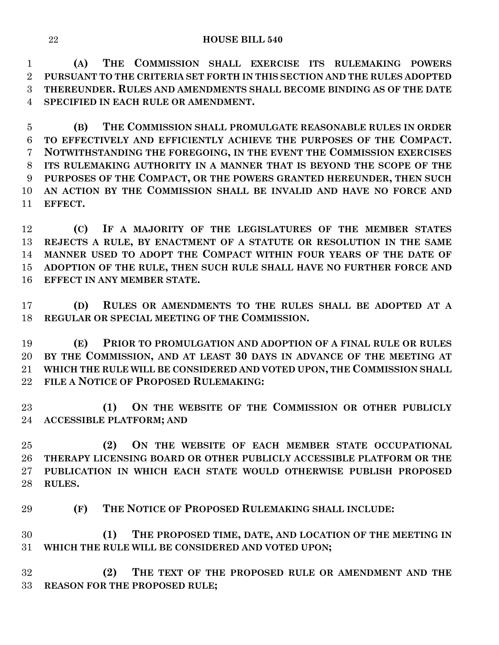**(A) THE COMMISSION SHALL EXERCISE ITS RULEMAKING POWERS PURSUANT TO THE CRITERIA SET FORTH IN THIS SECTION AND THE RULES ADOPTED THEREUNDER. RULES AND AMENDMENTS SHALL BECOME BINDING AS OF THE DATE SPECIFIED IN EACH RULE OR AMENDMENT.**

 **(B) THE COMMISSION SHALL PROMULGATE REASONABLE RULES IN ORDER TO EFFECTIVELY AND EFFICIENTLY ACHIEVE THE PURPOSES OF THE COMPACT. NOTWITHSTANDING THE FOREGOING, IN THE EVENT THE COMMISSION EXERCISES ITS RULEMAKING AUTHORITY IN A MANNER THAT IS BEYOND THE SCOPE OF THE PURPOSES OF THE COMPACT, OR THE POWERS GRANTED HEREUNDER, THEN SUCH AN ACTION BY THE COMMISSION SHALL BE INVALID AND HAVE NO FORCE AND EFFECT.**

 **(C) IF A MAJORITY OF THE LEGISLATURES OF THE MEMBER STATES REJECTS A RULE, BY ENACTMENT OF A STATUTE OR RESOLUTION IN THE SAME MANNER USED TO ADOPT THE COMPACT WITHIN FOUR YEARS OF THE DATE OF ADOPTION OF THE RULE, THEN SUCH RULE SHALL HAVE NO FURTHER FORCE AND EFFECT IN ANY MEMBER STATE.**

 **(D) RULES OR AMENDMENTS TO THE RULES SHALL BE ADOPTED AT A REGULAR OR SPECIAL MEETING OF THE COMMISSION.**

 **(E) PRIOR TO PROMULGATION AND ADOPTION OF A FINAL RULE OR RULES BY THE COMMISSION, AND AT LEAST 30 DAYS IN ADVANCE OF THE MEETING AT WHICH THE RULE WILL BE CONSIDERED AND VOTED UPON, THE COMMISSION SHALL FILE A NOTICE OF PROPOSED RULEMAKING:**

 **(1) ON THE WEBSITE OF THE COMMISSION OR OTHER PUBLICLY ACCESSIBLE PLATFORM; AND**

 **(2) ON THE WEBSITE OF EACH MEMBER STATE OCCUPATIONAL THERAPY LICENSING BOARD OR OTHER PUBLICLY ACCESSIBLE PLATFORM OR THE PUBLICATION IN WHICH EACH STATE WOULD OTHERWISE PUBLISH PROPOSED RULES.**

**(F) THE NOTICE OF PROPOSED RULEMAKING SHALL INCLUDE:**

 **(1) THE PROPOSED TIME, DATE, AND LOCATION OF THE MEETING IN WHICH THE RULE WILL BE CONSIDERED AND VOTED UPON;**

 **(2) THE TEXT OF THE PROPOSED RULE OR AMENDMENT AND THE REASON FOR THE PROPOSED RULE;**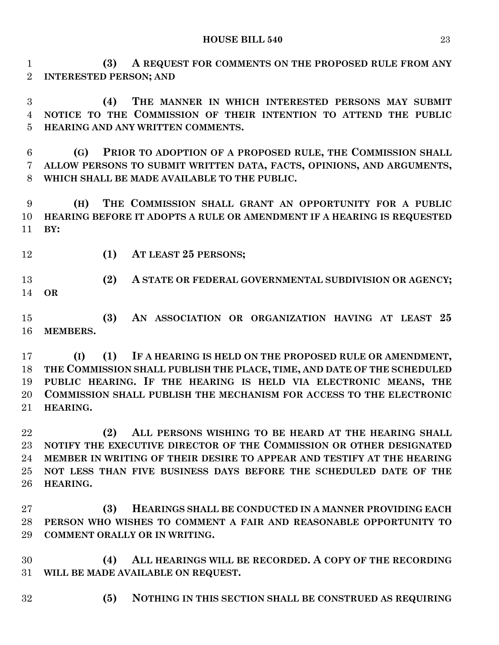**(3) A REQUEST FOR COMMENTS ON THE PROPOSED RULE FROM ANY INTERESTED PERSON; AND**

 **(4) THE MANNER IN WHICH INTERESTED PERSONS MAY SUBMIT NOTICE TO THE COMMISSION OF THEIR INTENTION TO ATTEND THE PUBLIC HEARING AND ANY WRITTEN COMMENTS.**

 **(G) PRIOR TO ADOPTION OF A PROPOSED RULE, THE COMMISSION SHALL ALLOW PERSONS TO SUBMIT WRITTEN DATA, FACTS, OPINIONS, AND ARGUMENTS, WHICH SHALL BE MADE AVAILABLE TO THE PUBLIC.**

 **(H) THE COMMISSION SHALL GRANT AN OPPORTUNITY FOR A PUBLIC HEARING BEFORE IT ADOPTS A RULE OR AMENDMENT IF A HEARING IS REQUESTED BY:**

- 
- **(1) AT LEAST 25 PERSONS;**

 **(2) A STATE OR FEDERAL GOVERNMENTAL SUBDIVISION OR AGENCY; OR**

 **(3) AN ASSOCIATION OR ORGANIZATION HAVING AT LEAST 25 MEMBERS.**

 **(I) (1) IF A HEARING IS HELD ON THE PROPOSED RULE OR AMENDMENT, THE COMMISSION SHALL PUBLISH THE PLACE, TIME, AND DATE OF THE SCHEDULED PUBLIC HEARING. IF THE HEARING IS HELD VIA ELECTRONIC MEANS, THE COMMISSION SHALL PUBLISH THE MECHANISM FOR ACCESS TO THE ELECTRONIC HEARING.**

 **(2) ALL PERSONS WISHING TO BE HEARD AT THE HEARING SHALL NOTIFY THE EXECUTIVE DIRECTOR OF THE COMMISSION OR OTHER DESIGNATED MEMBER IN WRITING OF THEIR DESIRE TO APPEAR AND TESTIFY AT THE HEARING NOT LESS THAN FIVE BUSINESS DAYS BEFORE THE SCHEDULED DATE OF THE HEARING.**

 **(3) HEARINGS SHALL BE CONDUCTED IN A MANNER PROVIDING EACH PERSON WHO WISHES TO COMMENT A FAIR AND REASONABLE OPPORTUNITY TO COMMENT ORALLY OR IN WRITING.**

 **(4) ALL HEARINGS WILL BE RECORDED. A COPY OF THE RECORDING WILL BE MADE AVAILABLE ON REQUEST.**

**(5) NOTHING IN THIS SECTION SHALL BE CONSTRUED AS REQUIRING**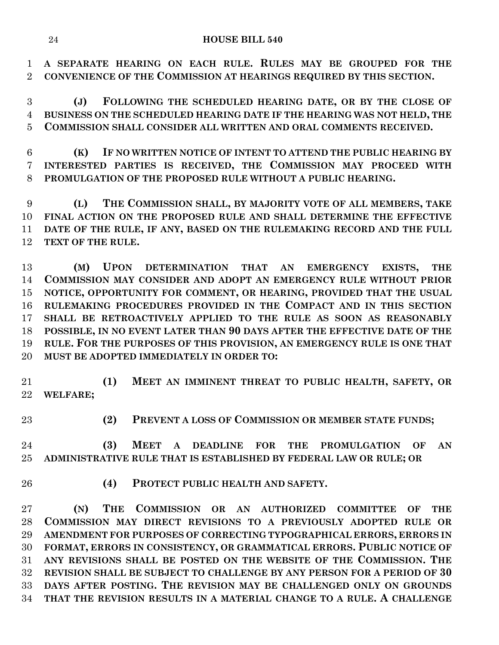**A SEPARATE HEARING ON EACH RULE. RULES MAY BE GROUPED FOR THE CONVENIENCE OF THE COMMISSION AT HEARINGS REQUIRED BY THIS SECTION.**

 **(J) FOLLOWING THE SCHEDULED HEARING DATE, OR BY THE CLOSE OF BUSINESS ON THE SCHEDULED HEARING DATE IF THE HEARING WAS NOT HELD, THE COMMISSION SHALL CONSIDER ALL WRITTEN AND ORAL COMMENTS RECEIVED.**

 **(K) IF NO WRITTEN NOTICE OF INTENT TO ATTEND THE PUBLIC HEARING BY INTERESTED PARTIES IS RECEIVED, THE COMMISSION MAY PROCEED WITH PROMULGATION OF THE PROPOSED RULE WITHOUT A PUBLIC HEARING.**

 **(L) THE COMMISSION SHALL, BY MAJORITY VOTE OF ALL MEMBERS, TAKE FINAL ACTION ON THE PROPOSED RULE AND SHALL DETERMINE THE EFFECTIVE DATE OF THE RULE, IF ANY, BASED ON THE RULEMAKING RECORD AND THE FULL TEXT OF THE RULE.**

 **(M) UPON DETERMINATION THAT AN EMERGENCY EXISTS, THE COMMISSION MAY CONSIDER AND ADOPT AN EMERGENCY RULE WITHOUT PRIOR NOTICE, OPPORTUNITY FOR COMMENT, OR HEARING, PROVIDED THAT THE USUAL RULEMAKING PROCEDURES PROVIDED IN THE COMPACT AND IN THIS SECTION SHALL BE RETROACTIVELY APPLIED TO THE RULE AS SOON AS REASONABLY POSSIBLE, IN NO EVENT LATER THAN 90 DAYS AFTER THE EFFECTIVE DATE OF THE RULE. FOR THE PURPOSES OF THIS PROVISION, AN EMERGENCY RULE IS ONE THAT MUST BE ADOPTED IMMEDIATELY IN ORDER TO:**

 **(1) MEET AN IMMINENT THREAT TO PUBLIC HEALTH, SAFETY, OR WELFARE;**

**(2) PREVENT A LOSS OF COMMISSION OR MEMBER STATE FUNDS;**

 **(3) MEET A DEADLINE FOR THE PROMULGATION OF AN ADMINISTRATIVE RULE THAT IS ESTABLISHED BY FEDERAL LAW OR RULE; OR**

**(4) PROTECT PUBLIC HEALTH AND SAFETY.**

 **(N) THE COMMISSION OR AN AUTHORIZED COMMITTEE OF THE COMMISSION MAY DIRECT REVISIONS TO A PREVIOUSLY ADOPTED RULE OR AMENDMENT FOR PURPOSES OF CORRECTING TYPOGRAPHICAL ERRORS, ERRORS IN FORMAT, ERRORS IN CONSISTENCY, OR GRAMMATICAL ERRORS. PUBLIC NOTICE OF ANY REVISIONS SHALL BE POSTED ON THE WEBSITE OF THE COMMISSION. THE REVISION SHALL BE SUBJECT TO CHALLENGE BY ANY PERSON FOR A PERIOD OF 30 DAYS AFTER POSTING. THE REVISION MAY BE CHALLENGED ONLY ON GROUNDS THAT THE REVISION RESULTS IN A MATERIAL CHANGE TO A RULE. A CHALLENGE**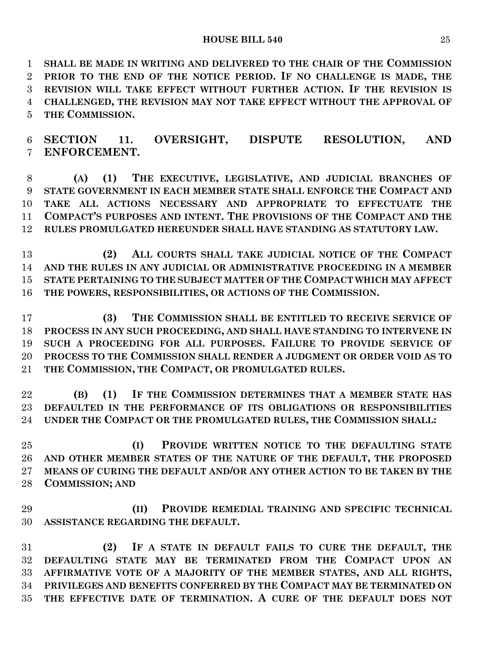#### **HOUSE BILL 540** 25

 **SHALL BE MADE IN WRITING AND DELIVERED TO THE CHAIR OF THE COMMISSION PRIOR TO THE END OF THE NOTICE PERIOD. IF NO CHALLENGE IS MADE, THE REVISION WILL TAKE EFFECT WITHOUT FURTHER ACTION. IF THE REVISION IS CHALLENGED, THE REVISION MAY NOT TAKE EFFECT WITHOUT THE APPROVAL OF THE COMMISSION.**

# **SECTION 11. OVERSIGHT, DISPUTE RESOLUTION, AND ENFORCEMENT.**

 **(A) (1) THE EXECUTIVE, LEGISLATIVE, AND JUDICIAL BRANCHES OF STATE GOVERNMENT IN EACH MEMBER STATE SHALL ENFORCE THE COMPACT AND TAKE ALL ACTIONS NECESSARY AND APPROPRIATE TO EFFECTUATE THE COMPACT'S PURPOSES AND INTENT. THE PROVISIONS OF THE COMPACT AND THE RULES PROMULGATED HEREUNDER SHALL HAVE STANDING AS STATUTORY LAW.**

 **(2) ALL COURTS SHALL TAKE JUDICIAL NOTICE OF THE COMPACT AND THE RULES IN ANY JUDICIAL OR ADMINISTRATIVE PROCEEDING IN A MEMBER STATE PERTAINING TO THE SUBJECT MATTER OF THE COMPACT WHICH MAY AFFECT THE POWERS, RESPONSIBILITIES, OR ACTIONS OF THE COMMISSION.**

 **(3) THE COMMISSION SHALL BE ENTITLED TO RECEIVE SERVICE OF PROCESS IN ANY SUCH PROCEEDING, AND SHALL HAVE STANDING TO INTERVENE IN SUCH A PROCEEDING FOR ALL PURPOSES. FAILURE TO PROVIDE SERVICE OF PROCESS TO THE COMMISSION SHALL RENDER A JUDGMENT OR ORDER VOID AS TO THE COMMISSION, THE COMPACT, OR PROMULGATED RULES.**

 **(B) (1) IF THE COMMISSION DETERMINES THAT A MEMBER STATE HAS DEFAULTED IN THE PERFORMANCE OF ITS OBLIGATIONS OR RESPONSIBILITIES UNDER THE COMPACT OR THE PROMULGATED RULES, THE COMMISSION SHALL:**

 **(I) PROVIDE WRITTEN NOTICE TO THE DEFAULTING STATE AND OTHER MEMBER STATES OF THE NATURE OF THE DEFAULT, THE PROPOSED MEANS OF CURING THE DEFAULT AND/OR ANY OTHER ACTION TO BE TAKEN BY THE COMMISSION; AND**

 **(II) PROVIDE REMEDIAL TRAINING AND SPECIFIC TECHNICAL ASSISTANCE REGARDING THE DEFAULT.**

 **(2) IF A STATE IN DEFAULT FAILS TO CURE THE DEFAULT, THE DEFAULTING STATE MAY BE TERMINATED FROM THE COMPACT UPON AN AFFIRMATIVE VOTE OF A MAJORITY OF THE MEMBER STATES, AND ALL RIGHTS, PRIVILEGES AND BENEFITS CONFERRED BY THE COMPACT MAY BE TERMINATED ON THE EFFECTIVE DATE OF TERMINATION. A CURE OF THE DEFAULT DOES NOT**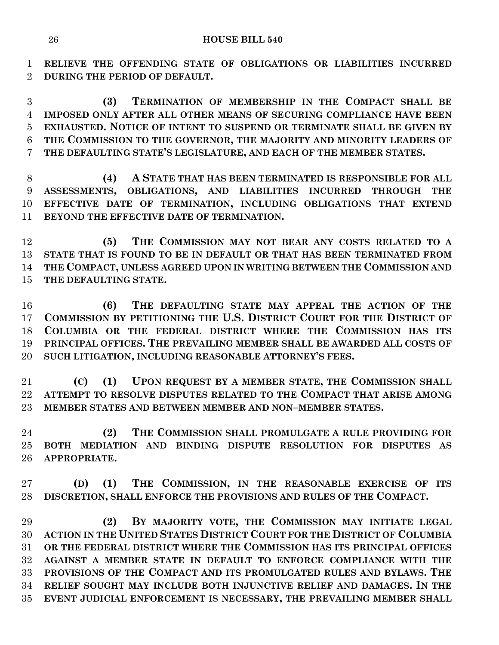**RELIEVE THE OFFENDING STATE OF OBLIGATIONS OR LIABILITIES INCURRED DURING THE PERIOD OF DEFAULT.**

 **(3) TERMINATION OF MEMBERSHIP IN THE COMPACT SHALL BE IMPOSED ONLY AFTER ALL OTHER MEANS OF SECURING COMPLIANCE HAVE BEEN EXHAUSTED. NOTICE OF INTENT TO SUSPEND OR TERMINATE SHALL BE GIVEN BY THE COMMISSION TO THE GOVERNOR, THE MAJORITY AND MINORITY LEADERS OF THE DEFAULTING STATE'S LEGISLATURE, AND EACH OF THE MEMBER STATES.**

 **(4) A STATE THAT HAS BEEN TERMINATED IS RESPONSIBLE FOR ALL ASSESSMENTS, OBLIGATIONS, AND LIABILITIES INCURRED THROUGH THE EFFECTIVE DATE OF TERMINATION, INCLUDING OBLIGATIONS THAT EXTEND BEYOND THE EFFECTIVE DATE OF TERMINATION.**

 **(5) THE COMMISSION MAY NOT BEAR ANY COSTS RELATED TO A STATE THAT IS FOUND TO BE IN DEFAULT OR THAT HAS BEEN TERMINATED FROM THE COMPACT, UNLESS AGREED UPON IN WRITING BETWEEN THE COMMISSION AND THE DEFAULTING STATE.**

 **(6) THE DEFAULTING STATE MAY APPEAL THE ACTION OF THE COMMISSION BY PETITIONING THE U.S. DISTRICT COURT FOR THE DISTRICT OF COLUMBIA OR THE FEDERAL DISTRICT WHERE THE COMMISSION HAS ITS PRINCIPAL OFFICES. THE PREVAILING MEMBER SHALL BE AWARDED ALL COSTS OF SUCH LITIGATION, INCLUDING REASONABLE ATTORNEY'S FEES.**

 **(C) (1) UPON REQUEST BY A MEMBER STATE, THE COMMISSION SHALL ATTEMPT TO RESOLVE DISPUTES RELATED TO THE COMPACT THAT ARISE AMONG MEMBER STATES AND BETWEEN MEMBER AND NON–MEMBER STATES.**

 **(2) THE COMMISSION SHALL PROMULGATE A RULE PROVIDING FOR BOTH MEDIATION AND BINDING DISPUTE RESOLUTION FOR DISPUTES AS APPROPRIATE.**

 **(D) (1) THE COMMISSION, IN THE REASONABLE EXERCISE OF ITS DISCRETION, SHALL ENFORCE THE PROVISIONS AND RULES OF THE COMPACT.**

 **(2) BY MAJORITY VOTE, THE COMMISSION MAY INITIATE LEGAL ACTION IN THE UNITED STATES DISTRICT COURT FOR THE DISTRICT OF COLUMBIA OR THE FEDERAL DISTRICT WHERE THE COMMISSION HAS ITS PRINCIPAL OFFICES AGAINST A MEMBER STATE IN DEFAULT TO ENFORCE COMPLIANCE WITH THE PROVISIONS OF THE COMPACT AND ITS PROMULGATED RULES AND BYLAWS. THE RELIEF SOUGHT MAY INCLUDE BOTH INJUNCTIVE RELIEF AND DAMAGES. IN THE EVENT JUDICIAL ENFORCEMENT IS NECESSARY, THE PREVAILING MEMBER SHALL**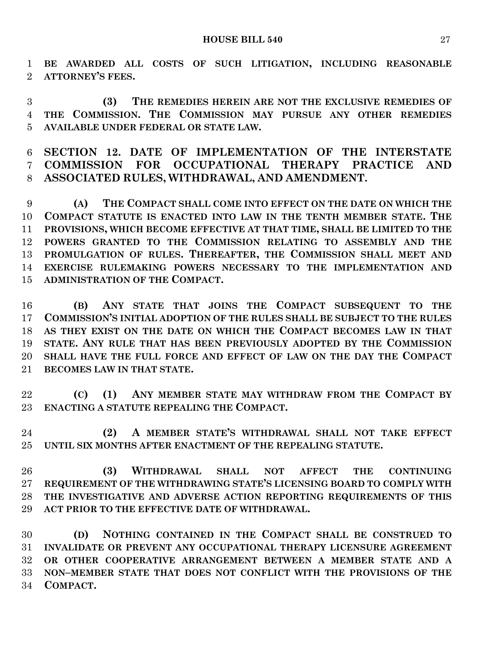**BE AWARDED ALL COSTS OF SUCH LITIGATION, INCLUDING REASONABLE ATTORNEY'S FEES.**

 **(3) THE REMEDIES HEREIN ARE NOT THE EXCLUSIVE REMEDIES OF THE COMMISSION. THE COMMISSION MAY PURSUE ANY OTHER REMEDIES AVAILABLE UNDER FEDERAL OR STATE LAW.**

 **SECTION 12. DATE OF IMPLEMENTATION OF THE INTERSTATE COMMISSION FOR OCCUPATIONAL THERAPY PRACTICE AND ASSOCIATED RULES, WITHDRAWAL, AND AMENDMENT.**

 **(A) THE COMPACT SHALL COME INTO EFFECT ON THE DATE ON WHICH THE COMPACT STATUTE IS ENACTED INTO LAW IN THE TENTH MEMBER STATE. THE PROVISIONS, WHICH BECOME EFFECTIVE AT THAT TIME, SHALL BE LIMITED TO THE POWERS GRANTED TO THE COMMISSION RELATING TO ASSEMBLY AND THE PROMULGATION OF RULES. THEREAFTER, THE COMMISSION SHALL MEET AND EXERCISE RULEMAKING POWERS NECESSARY TO THE IMPLEMENTATION AND ADMINISTRATION OF THE COMPACT.**

 **(B) ANY STATE THAT JOINS THE COMPACT SUBSEQUENT TO THE COMMISSION'S INITIAL ADOPTION OF THE RULES SHALL BE SUBJECT TO THE RULES AS THEY EXIST ON THE DATE ON WHICH THE COMPACT BECOMES LAW IN THAT STATE. ANY RULE THAT HAS BEEN PREVIOUSLY ADOPTED BY THE COMMISSION SHALL HAVE THE FULL FORCE AND EFFECT OF LAW ON THE DAY THE COMPACT BECOMES LAW IN THAT STATE.**

 **(C) (1) ANY MEMBER STATE MAY WITHDRAW FROM THE COMPACT BY ENACTING A STATUTE REPEALING THE COMPACT.**

 **(2) A MEMBER STATE'S WITHDRAWAL SHALL NOT TAKE EFFECT UNTIL SIX MONTHS AFTER ENACTMENT OF THE REPEALING STATUTE.**

 **(3) WITHDRAWAL SHALL NOT AFFECT THE CONTINUING REQUIREMENT OF THE WITHDRAWING STATE'S LICENSING BOARD TO COMPLY WITH THE INVESTIGATIVE AND ADVERSE ACTION REPORTING REQUIREMENTS OF THIS ACT PRIOR TO THE EFFECTIVE DATE OF WITHDRAWAL.**

 **(D) NOTHING CONTAINED IN THE COMPACT SHALL BE CONSTRUED TO INVALIDATE OR PREVENT ANY OCCUPATIONAL THERAPY LICENSURE AGREEMENT OR OTHER COOPERATIVE ARRANGEMENT BETWEEN A MEMBER STATE AND A NON–MEMBER STATE THAT DOES NOT CONFLICT WITH THE PROVISIONS OF THE COMPACT.**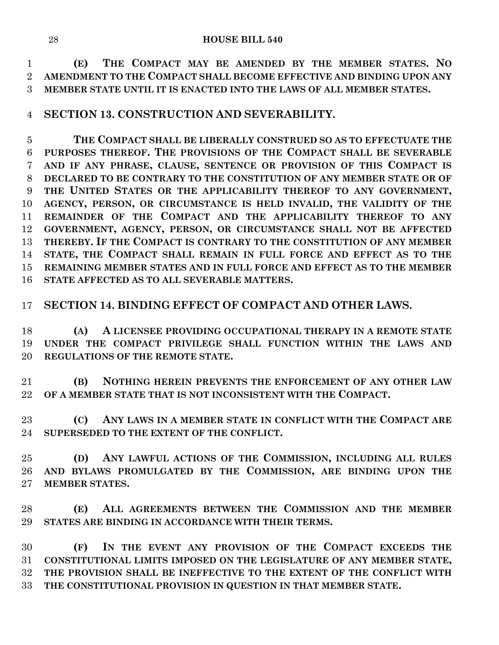**(E) THE COMPACT MAY BE AMENDED BY THE MEMBER STATES. NO AMENDMENT TO THE COMPACT SHALL BECOME EFFECTIVE AND BINDING UPON ANY MEMBER STATE UNTIL IT IS ENACTED INTO THE LAWS OF ALL MEMBER STATES.**

# **SECTION 13. CONSTRUCTION AND SEVERABILITY.**

 **THE COMPACT SHALL BE LIBERALLY CONSTRUED SO AS TO EFFECTUATE THE PURPOSES THEREOF. THE PROVISIONS OF THE COMPACT SHALL BE SEVERABLE AND IF ANY PHRASE, CLAUSE, SENTENCE OR PROVISION OF THIS COMPACT IS DECLARED TO BE CONTRARY TO THE CONSTITUTION OF ANY MEMBER STATE OR OF THE UNITED STATES OR THE APPLICABILITY THEREOF TO ANY GOVERNMENT, AGENCY, PERSON, OR CIRCUMSTANCE IS HELD INVALID, THE VALIDITY OF THE REMAINDER OF THE COMPACT AND THE APPLICABILITY THEREOF TO ANY GOVERNMENT, AGENCY, PERSON, OR CIRCUMSTANCE SHALL NOT BE AFFECTED THEREBY. IF THE COMPACT IS CONTRARY TO THE CONSTITUTION OF ANY MEMBER STATE, THE COMPACT SHALL REMAIN IN FULL FORCE AND EFFECT AS TO THE REMAINING MEMBER STATES AND IN FULL FORCE AND EFFECT AS TO THE MEMBER STATE AFFECTED AS TO ALL SEVERABLE MATTERS.**

# **SECTION 14. BINDING EFFECT OF COMPACT AND OTHER LAWS.**

 **(A) A LICENSEE PROVIDING OCCUPATIONAL THERAPY IN A REMOTE STATE UNDER THE COMPACT PRIVILEGE SHALL FUNCTION WITHIN THE LAWS AND REGULATIONS OF THE REMOTE STATE.**

 **(B) NOTHING HEREIN PREVENTS THE ENFORCEMENT OF ANY OTHER LAW OF A MEMBER STATE THAT IS NOT INCONSISTENT WITH THE COMPACT.**

 **(C) ANY LAWS IN A MEMBER STATE IN CONFLICT WITH THE COMPACT ARE SUPERSEDED TO THE EXTENT OF THE CONFLICT.**

 **(D) ANY LAWFUL ACTIONS OF THE COMMISSION, INCLUDING ALL RULES AND BYLAWS PROMULGATED BY THE COMMISSION, ARE BINDING UPON THE MEMBER STATES.**

 **(E) ALL AGREEMENTS BETWEEN THE COMMISSION AND THE MEMBER STATES ARE BINDING IN ACCORDANCE WITH THEIR TERMS.**

 **(F) IN THE EVENT ANY PROVISION OF THE COMPACT EXCEEDS THE CONSTITUTIONAL LIMITS IMPOSED ON THE LEGISLATURE OF ANY MEMBER STATE, THE PROVISION SHALL BE INEFFECTIVE TO THE EXTENT OF THE CONFLICT WITH THE CONSTITUTIONAL PROVISION IN QUESTION IN THAT MEMBER STATE.**